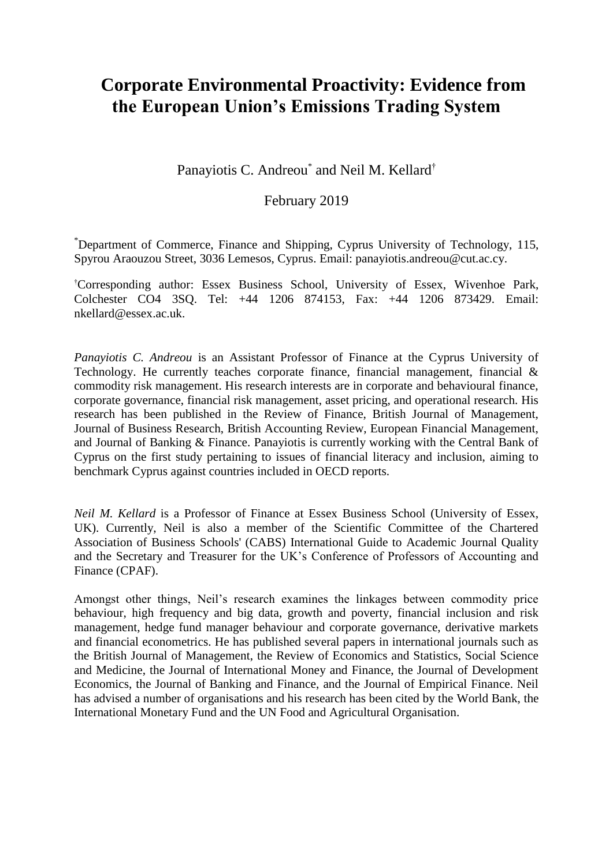# **Corporate Environmental Proactivity: Evidence from the European Union's Emissions Trading System**

Panayiotis C. Andreou<sup>\*</sup> and Neil M. Kellard<sup>†</sup>

## February 2019

\*Department of Commerce, Finance and Shipping, Cyprus University of Technology, 115, Spyrou Araouzou Street, 3036 Lemesos, Cyprus. Email: panayiotis.andreou@cut.ac.cy.

†Corresponding author: Essex Business School, University of Essex, Wivenhoe Park, Colchester CO4 3SQ. Tel: +44 1206 874153, Fax: +44 1206 873429. Email: nkellard@essex.ac.uk.

*Panayiotis C. Andreou* is an Assistant Professor of Finance at the Cyprus University of Technology. He currently teaches corporate finance, financial management, financial & commodity risk management. His research interests are in corporate and behavioural finance, corporate governance, financial risk management, asset pricing, and operational research. His research has been published in the Review of Finance, British Journal of Management, Journal of Business Research, British Accounting Review, European Financial Management, and Journal of Banking & Finance. Panayiotis is currently working with the Central Bank of Cyprus on the first study pertaining to issues of financial literacy and inclusion, aiming to benchmark Cyprus against countries included in OECD reports.

*Neil M. Kellard* is a Professor of Finance at Essex Business School (University of Essex, UK). Currently, Neil is also a member of the Scientific Committee of the Chartered Association of Business Schools' (CABS) International Guide to Academic Journal Quality and the Secretary and Treasurer for the UK's Conference of Professors of Accounting and Finance (CPAF).

Amongst other things, Neil's research examines the linkages between commodity price behaviour, high frequency and big data, growth and poverty, financial inclusion and risk management, hedge fund manager behaviour and corporate governance, derivative markets and financial econometrics. He has published several papers in international journals such as the British Journal of Management, the Review of Economics and Statistics, Social Science and Medicine, the Journal of International Money and Finance, the Journal of Development Economics, the Journal of Banking and Finance, and the Journal of Empirical Finance. Neil has advised a number of organisations and his research has been cited by the World Bank, the International Monetary Fund and the UN Food and Agricultural Organisation.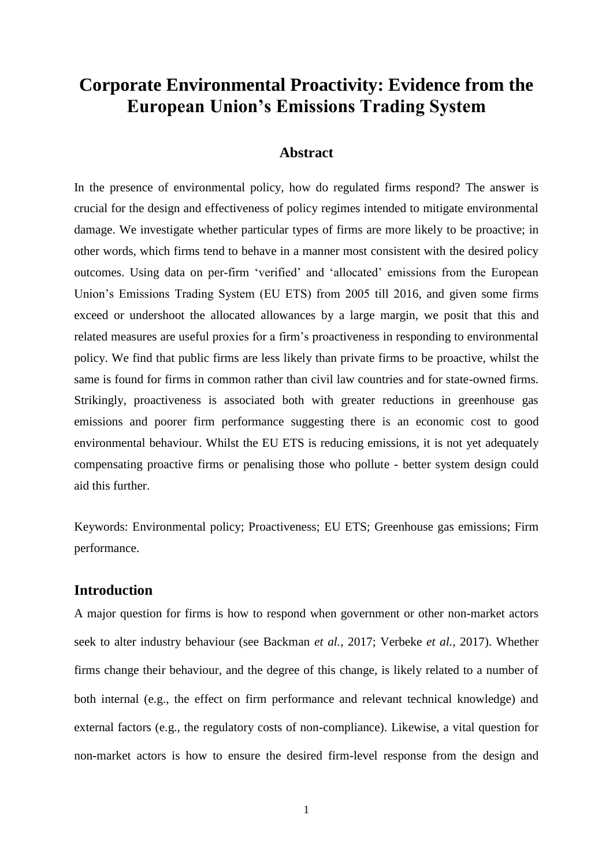# **Corporate Environmental Proactivity: Evidence from the European Union's Emissions Trading System**

## **Abstract**

In the presence of environmental policy, how do regulated firms respond? The answer is crucial for the design and effectiveness of policy regimes intended to mitigate environmental damage. We investigate whether particular types of firms are more likely to be proactive; in other words, which firms tend to behave in a manner most consistent with the desired policy outcomes. Using data on per-firm 'verified' and 'allocated' emissions from the European Union's Emissions Trading System (EU ETS) from 2005 till 2016, and given some firms exceed or undershoot the allocated allowances by a large margin, we posit that this and related measures are useful proxies for a firm's proactiveness in responding to environmental policy. We find that public firms are less likely than private firms to be proactive, whilst the same is found for firms in common rather than civil law countries and for state-owned firms. Strikingly, proactiveness is associated both with greater reductions in greenhouse gas emissions and poorer firm performance suggesting there is an economic cost to good environmental behaviour. Whilst the EU ETS is reducing emissions, it is not yet adequately compensating proactive firms or penalising those who pollute - better system design could aid this further.

Keywords: Environmental policy; Proactiveness; EU ETS; Greenhouse gas emissions; Firm performance.

## **Introduction**

A major question for firms is how to respond when government or other non-market actors seek to alter industry behaviour (see Backman *et al.*, 2017; Verbeke *et al.*, 2017). Whether firms change their behaviour, and the degree of this change, is likely related to a number of both internal (e.g., the effect on firm performance and relevant technical knowledge) and external factors (e.g., the regulatory costs of non-compliance). Likewise, a vital question for non-market actors is how to ensure the desired firm-level response from the design and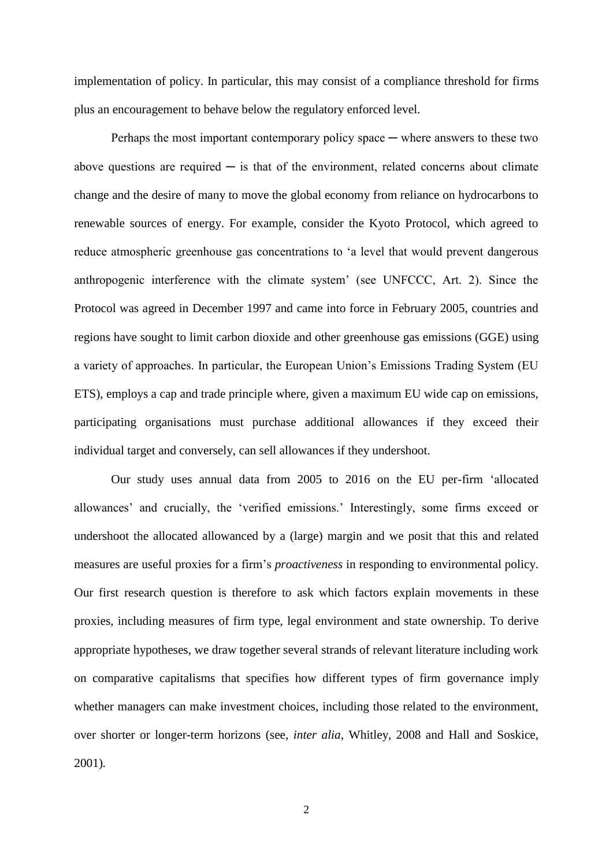implementation of policy. In particular, this may consist of a compliance threshold for firms plus an encouragement to behave below the regulatory enforced level.

Perhaps the most important contemporary policy space  $-$  where answers to these two above questions are required  $\overline{\phantom{a}}$  is that of the environment, related concerns about climate change and the desire of many to move the global economy from reliance on hydrocarbons to renewable sources of energy. For example, consider the Kyoto Protocol, which agreed to reduce atmospheric greenhouse gas concentrations to 'a level that would prevent dangerous anthropogenic interference with the climate system' (see UNFCCC, Art. 2). Since the Protocol was agreed in December 1997 and came into force in February 2005, countries and regions have sought to limit carbon dioxide and other greenhouse gas emissions (GGE) using a variety of approaches. In particular, the European Union's Emissions Trading System (EU ETS), employs a cap and trade principle where, given a maximum EU wide cap on emissions, participating organisations must purchase additional allowances if they exceed their individual target and conversely, can sell allowances if they undershoot.

Our study uses annual data from 2005 to 2016 on the EU per-firm 'allocated allowances' and crucially, the 'verified emissions.' Interestingly, some firms exceed or undershoot the allocated allowanced by a (large) margin and we posit that this and related measures are useful proxies for a firm's *proactiveness* in responding to environmental policy. Our first research question is therefore to ask which factors explain movements in these proxies, including measures of firm type, legal environment and state ownership. To derive appropriate hypotheses, we draw together several strands of relevant literature including work on comparative capitalisms that specifies how different types of firm governance imply whether managers can make investment choices, including those related to the environment, over shorter or longer-term horizons (see, *inter alia*, Whitley, 2008 and Hall and Soskice, 2001)*.*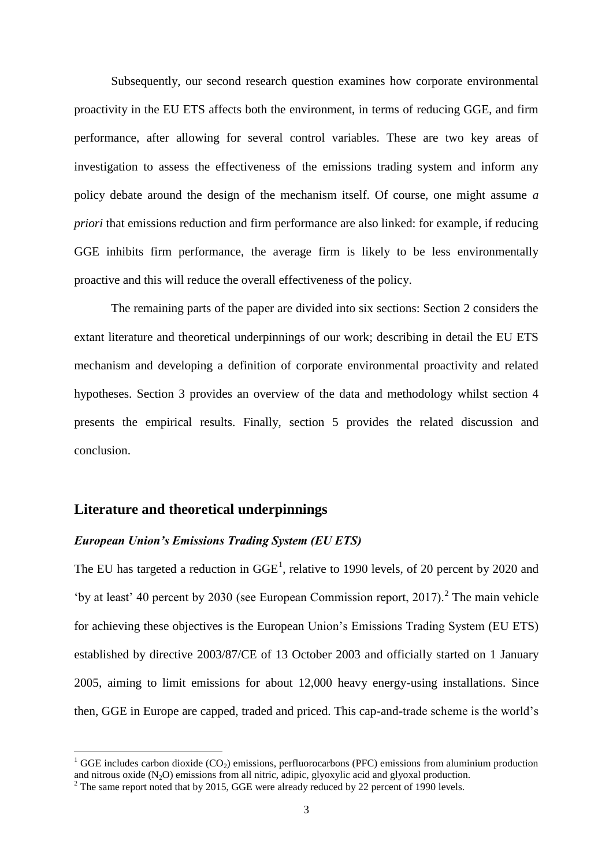Subsequently, our second research question examines how corporate environmental proactivity in the EU ETS affects both the environment, in terms of reducing GGE, and firm performance, after allowing for several control variables. These are two key areas of investigation to assess the effectiveness of the emissions trading system and inform any policy debate around the design of the mechanism itself. Of course, one might assume *a priori* that emissions reduction and firm performance are also linked: for example, if reducing GGE inhibits firm performance, the average firm is likely to be less environmentally proactive and this will reduce the overall effectiveness of the policy.

The remaining parts of the paper are divided into six sections: Section 2 considers the extant literature and theoretical underpinnings of our work; describing in detail the EU ETS mechanism and developing a definition of corporate environmental proactivity and related hypotheses. Section 3 provides an overview of the data and methodology whilst section 4 presents the empirical results. Finally, section 5 provides the related discussion and conclusion.

### **Literature and theoretical underpinnings**

<u>.</u>

### *European Union's Emissions Trading System (EU ETS)*

The EU has targeted a reduction in  $GGE<sup>1</sup>$ , relative to 1990 levels, of 20 percent by 2020 and 'by at least' 40 percent by 2030 (see European Commission report,  $2017$ ).<sup>2</sup> The main vehicle for achieving these objectives is the European Union's Emissions Trading System (EU ETS) established by directive 2003/87/CE of 13 October 2003 and officially started on 1 January 2005, aiming to limit emissions for about 12,000 heavy energy-using installations. Since then, GGE in Europe are capped, traded and priced. This cap-and-trade scheme is the world's

<sup>&</sup>lt;sup>1</sup> GGE includes carbon dioxide (CO<sub>2</sub>) emissions, perfluorocarbons (PFC) emissions from aluminium production and nitrous oxide  $(N_2O)$  emissions from all nitric, adipic, glyoxylic acid and glyoxal production.

<sup>&</sup>lt;sup>2</sup> The same report noted that by 2015, GGE were already reduced by 22 percent of 1990 levels.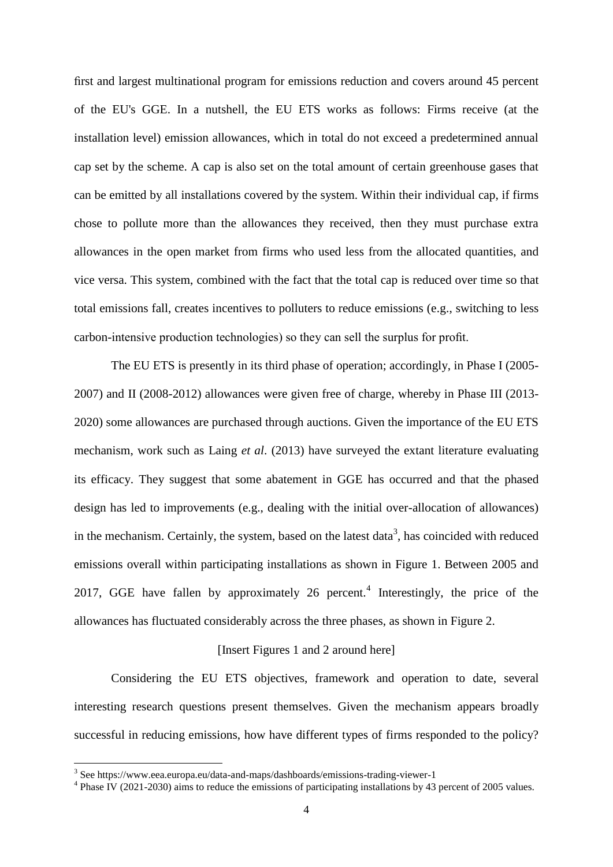first and largest multinational program for emissions reduction and covers around 45 percent of the EU's GGE. In a nutshell, the EU ETS works as follows: Firms receive (at the installation level) emission allowances, which in total do not exceed a predetermined annual cap set by the scheme. A cap is also set on the total amount of certain greenhouse gases that can be emitted by all installations covered by the system. Within their individual cap, if firms chose to pollute more than the allowances they received, then they must purchase extra allowances in the open market from firms who used less from the allocated quantities, and vice versa. This system, combined with the fact that the total cap is reduced over time so that total emissions fall, creates incentives to polluters to reduce emissions (e.g., switching to less carbon-intensive production technologies) so they can sell the surplus for profit.

The EU ETS is presently in its third phase of operation; accordingly, in Phase I (2005- 2007) and II (2008-2012) allowances were given free of charge, whereby in Phase III (2013- 2020) some allowances are purchased through auctions. Given the importance of the EU ETS mechanism, work such as Laing *et al*. (2013) have surveyed the extant literature evaluating its efficacy. They suggest that some abatement in GGE has occurred and that the phased design has led to improvements (e.g., dealing with the initial over-allocation of allowances) in the mechanism. Certainly, the system, based on the latest data<sup>3</sup>, has coincided with reduced emissions overall within participating installations as shown in Figure 1. Between 2005 and 2017, GGE have fallen by approximately  $26$  percent.<sup>4</sup> Interestingly, the price of the allowances has fluctuated considerably across the three phases, as shown in Figure 2.

### [Insert Figures 1 and 2 around here]

Considering the EU ETS objectives, framework and operation to date, several interesting research questions present themselves. Given the mechanism appears broadly successful in reducing emissions, how have different types of firms responded to the policy?

 3 See https://www.eea.europa.eu/data-and-maps/dashboards/emissions-trading-viewer-1

<sup>&</sup>lt;sup>4</sup> Phase IV (2021-2030) aims to reduce the emissions of participating installations by 43 percent of 2005 values.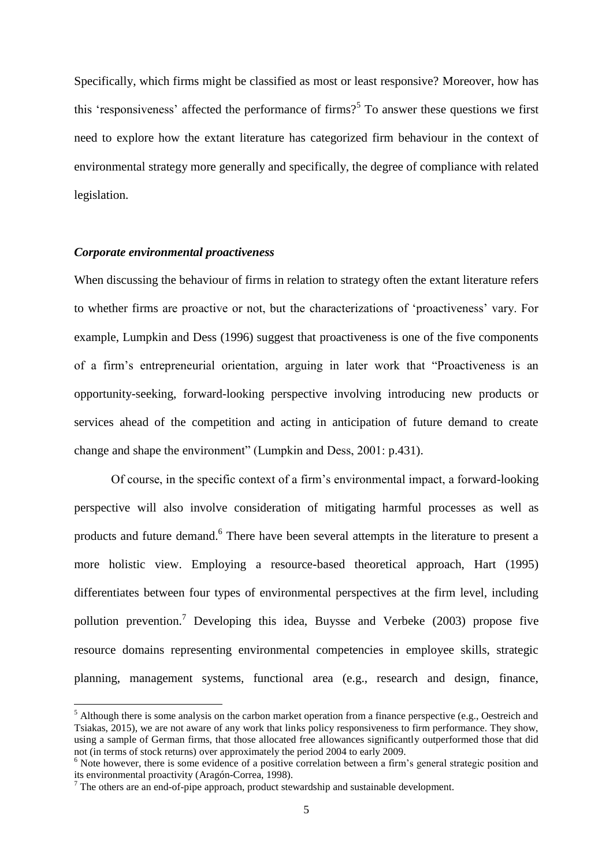Specifically, which firms might be classified as most or least responsive? Moreover, how has this 'responsiveness' affected the performance of firms?<sup>5</sup> To answer these questions we first need to explore how the extant literature has categorized firm behaviour in the context of environmental strategy more generally and specifically, the degree of compliance with related legislation.

#### *Corporate environmental proactiveness*

1

When discussing the behaviour of firms in relation to strategy often the extant literature refers to whether firms are proactive or not, but the characterizations of 'proactiveness' vary. For example, Lumpkin and Dess (1996) suggest that proactiveness is one of the five components of a firm's entrepreneurial orientation, arguing in later work that "Proactiveness is an opportunity-seeking, forward-looking perspective involving introducing new products or services ahead of the competition and acting in anticipation of future demand to create change and shape the environment" (Lumpkin and Dess, 2001: p.431).

Of course, in the specific context of a firm's environmental impact, a forward-looking perspective will also involve consideration of mitigating harmful processes as well as products and future demand.<sup>6</sup> There have been several attempts in the literature to present a more holistic view. Employing a resource-based theoretical approach, Hart (1995) differentiates between four types of environmental perspectives at the firm level, including pollution prevention.<sup>7</sup> Developing this idea, Buysse and Verbeke (2003) propose five resource domains representing environmental competencies in employee skills, strategic planning, management systems, functional area (e.g., research and design, finance,

 $<sup>5</sup>$  Although there is some analysis on the carbon market operation from a finance perspective (e.g., Oestreich and</sup> Tsiakas, 2015), we are not aware of any work that links policy responsiveness to firm performance. They show, using a sample of German firms, that those allocated free allowances significantly outperformed those that did not (in terms of stock returns) over approximately the period 2004 to early 2009.

<sup>&</sup>lt;sup>6</sup> Note however, there is some evidence of a positive correlation between a firm's general strategic position and its environmental proactivity (Aragón-Correa, 1998).

<sup>7</sup> The others are an end-of-pipe approach, product stewardship and sustainable development.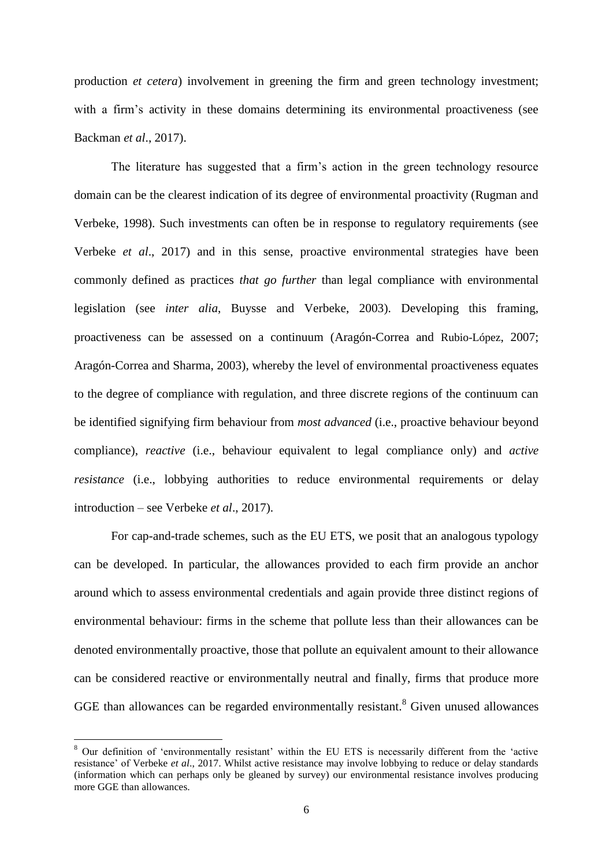production *et cetera*) involvement in greening the firm and green technology investment; with a firm's activity in these domains determining its environmental proactiveness (see Backman *et al*., 2017).

The literature has suggested that a firm's action in the green technology resource domain can be the clearest indication of its degree of environmental proactivity (Rugman and Verbeke, 1998). Such investments can often be in response to regulatory requirements (see Verbeke *et al*., 2017) and in this sense, proactive environmental strategies have been commonly defined as practices *that go further* than legal compliance with environmental legislation (see *inter alia*, Buysse and Verbeke, 2003). Developing this framing, proactiveness can be assessed on a continuum (Aragón-Correa and Rubio-López, 2007; Aragón-Correa and Sharma, 2003), whereby the level of environmental proactiveness equates to the degree of compliance with regulation, and three discrete regions of the continuum can be identified signifying firm behaviour from *most advanced* (i.e., proactive behaviour beyond compliance), *reactive* (i.e., behaviour equivalent to legal compliance only) and *active resistance* (i.e., lobbying authorities to reduce environmental requirements or delay introduction – see Verbeke *et al*., 2017).

For cap-and-trade schemes, such as the EU ETS, we posit that an analogous typology can be developed. In particular, the allowances provided to each firm provide an anchor around which to assess environmental credentials and again provide three distinct regions of environmental behaviour: firms in the scheme that pollute less than their allowances can be denoted environmentally proactive, those that pollute an equivalent amount to their allowance can be considered reactive or environmentally neutral and finally, firms that produce more GGE than allowances can be regarded environmentally resistant.<sup>8</sup> Given unused allowances

1

<sup>&</sup>lt;sup>8</sup> Our definition of 'environmentally resistant' within the EU ETS is necessarily different from the 'active resistance' of Verbeke *et al*., 2017. Whilst active resistance may involve lobbying to reduce or delay standards (information which can perhaps only be gleaned by survey) our environmental resistance involves producing more GGE than allowances.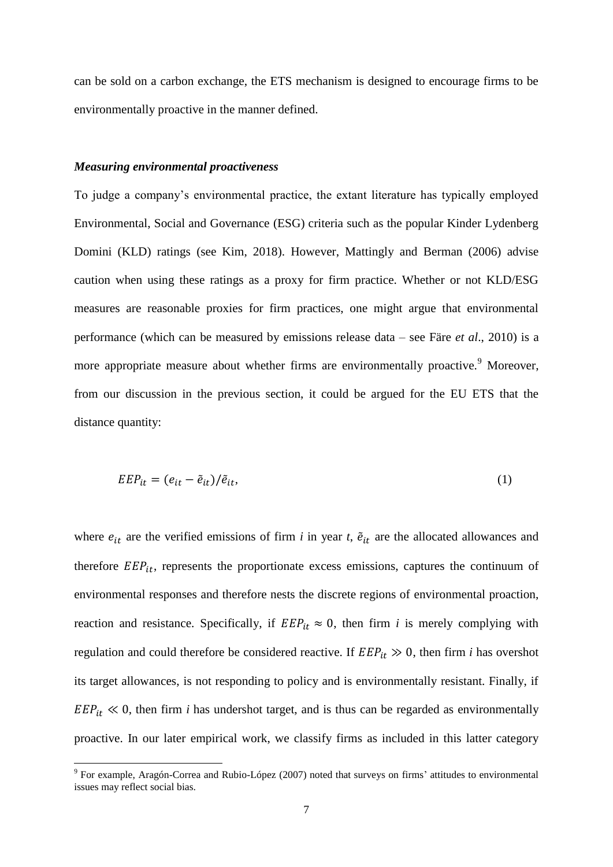can be sold on a carbon exchange, the ETS mechanism is designed to encourage firms to be environmentally proactive in the manner defined.

#### *Measuring environmental proactiveness*

1

To judge a company's environmental practice, the extant literature has typically employed Environmental, Social and Governance (ESG) criteria such as the popular Kinder Lydenberg Domini (KLD) ratings (see Kim, 2018). However, Mattingly and Berman (2006) advise caution when using these ratings as a proxy for firm practice. Whether or not KLD/ESG measures are reasonable proxies for firm practices, one might argue that environmental performance (which can be measured by emissions release data – see Färe *et al*., 2010) is a more appropriate measure about whether firms are environmentally proactive.<sup>9</sup> Moreover, from our discussion in the previous section, it could be argued for the EU ETS that the distance quantity:

$$
EEP_{it} = (e_{it} - \tilde{e}_{it})/\tilde{e}_{it},\tag{1}
$$

where  $e_{it}$  are the verified emissions of firm *i* in year *t*,  $\tilde{e}_{it}$  are the allocated allowances and therefore  $EEP_{it}$ , represents the proportionate excess emissions, captures the continuum of environmental responses and therefore nests the discrete regions of environmental proaction, reaction and resistance. Specifically, if  $EEP_{it} \approx 0$ , then firm *i* is merely complying with regulation and could therefore be considered reactive. If  $EEP_{it} \gg 0$ , then firm *i* has overshot its target allowances, is not responding to policy and is environmentally resistant. Finally, if  $EEP_{it} \ll 0$ , then firm *i* has undershot target, and is thus can be regarded as environmentally proactive. In our later empirical work, we classify firms as included in this latter category

 $9$  For example, Aragón-Correa and Rubio-López (2007) noted that surveys on firms' attitudes to environmental issues may reflect social bias.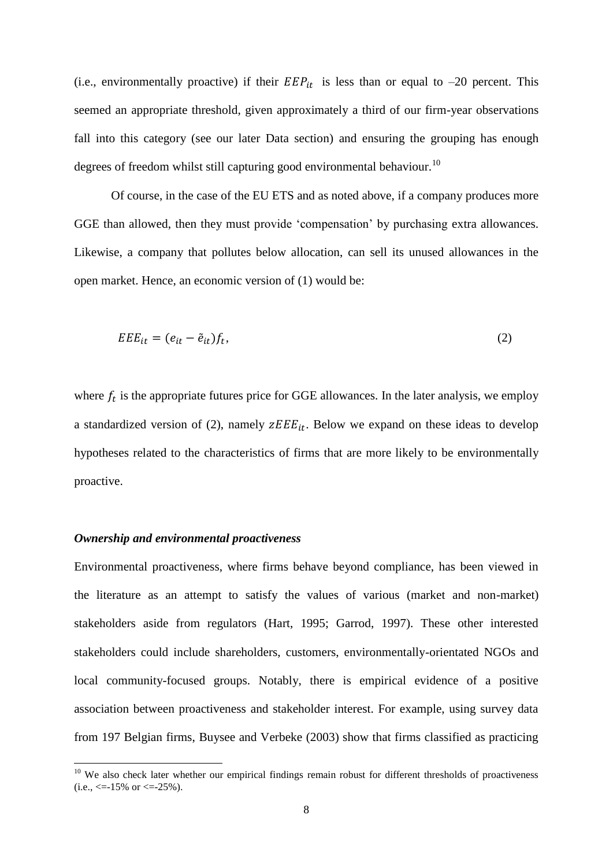(i.e., environmentally proactive) if their  $EEP_{it}$  is less than or equal to -20 percent. This seemed an appropriate threshold, given approximately a third of our firm-year observations fall into this category (see our later Data section) and ensuring the grouping has enough degrees of freedom whilst still capturing good environmental behaviour.<sup>10</sup>

Of course, in the case of the EU ETS and as noted above, if a company produces more GGE than allowed, then they must provide 'compensation' by purchasing extra allowances. Likewise, a company that pollutes below allocation, can sell its unused allowances in the open market. Hence, an economic version of (1) would be:

$$
EEE_{it} = (e_{it} - \tilde{e}_{it})f_t,
$$
\n<sup>(2)</sup>

where  $f_t$  is the appropriate futures price for GGE allowances. In the later analysis, we employ a standardized version of (2), namely  $\overline{z}E E_{it}$ . Below we expand on these ideas to develop hypotheses related to the characteristics of firms that are more likely to be environmentally proactive.

## *Ownership and environmental proactiveness*

1

Environmental proactiveness, where firms behave beyond compliance, has been viewed in the literature as an attempt to satisfy the values of various (market and non-market) stakeholders aside from regulators (Hart, 1995; Garrod, 1997). These other interested stakeholders could include shareholders, customers, environmentally-orientated NGOs and local community-focused groups. Notably, there is empirical evidence of a positive association between proactiveness and stakeholder interest. For example, using survey data from 197 Belgian firms, Buysee and Verbeke (2003) show that firms classified as practicing

 $10$  We also check later whether our empirical findings remain robust for different thresholds of proactiveness  $(i.e., \le -15\% \text{ or } \le -25\%).$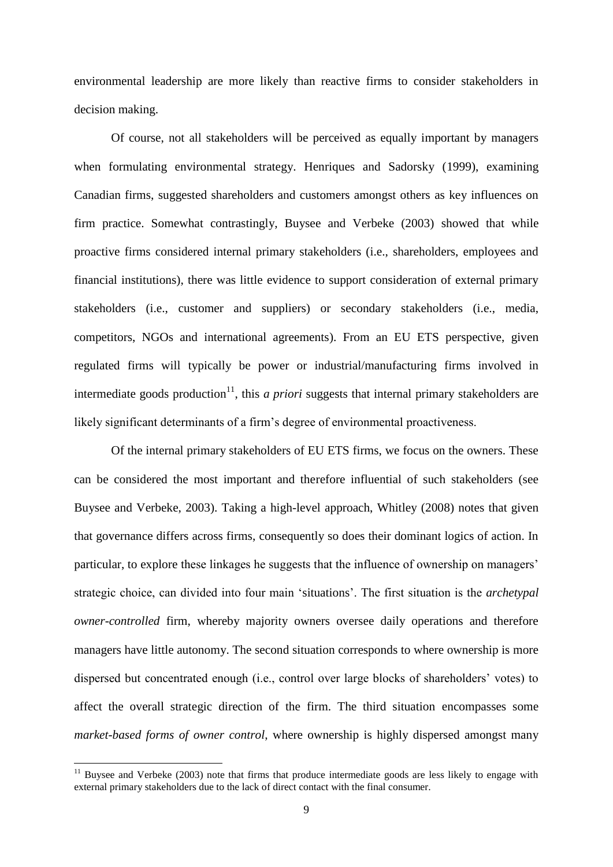environmental leadership are more likely than reactive firms to consider stakeholders in decision making.

Of course, not all stakeholders will be perceived as equally important by managers when formulating environmental strategy. Henriques and Sadorsky (1999), examining Canadian firms, suggested shareholders and customers amongst others as key influences on firm practice. Somewhat contrastingly, Buysee and Verbeke (2003) showed that while proactive firms considered internal primary stakeholders (i.e., shareholders, employees and financial institutions), there was little evidence to support consideration of external primary stakeholders (i.e., customer and suppliers) or secondary stakeholders (i.e., media, competitors, NGOs and international agreements). From an EU ETS perspective, given regulated firms will typically be power or industrial/manufacturing firms involved in intermediate goods production<sup>11</sup>, this *a priori* suggests that internal primary stakeholders are likely significant determinants of a firm's degree of environmental proactiveness.

Of the internal primary stakeholders of EU ETS firms, we focus on the owners. These can be considered the most important and therefore influential of such stakeholders (see Buysee and Verbeke, 2003). Taking a high-level approach, Whitley (2008) notes that given that governance differs across firms, consequently so does their dominant logics of action. In particular, to explore these linkages he suggests that the influence of ownership on managers' strategic choice, can divided into four main 'situations'. The first situation is the *archetypal owner-controlled* firm, whereby majority owners oversee daily operations and therefore managers have little autonomy. The second situation corresponds to where ownership is more dispersed but concentrated enough (i.e., control over large blocks of shareholders' votes) to affect the overall strategic direction of the firm. The third situation encompasses some *market-based forms of owner control*, where ownership is highly dispersed amongst many

1

 $11$  Buysee and Verbeke (2003) note that firms that produce intermediate goods are less likely to engage with external primary stakeholders due to the lack of direct contact with the final consumer.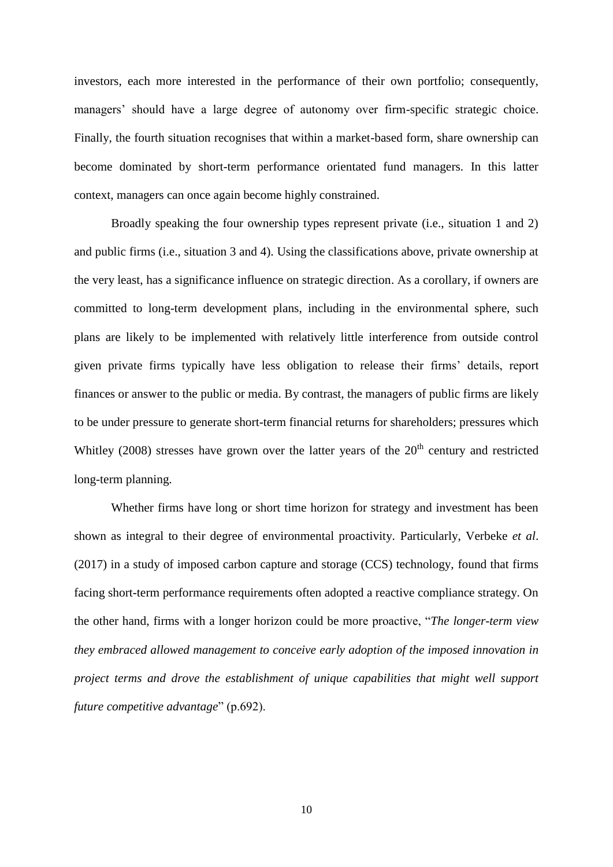investors, each more interested in the performance of their own portfolio; consequently, managers' should have a large degree of autonomy over firm-specific strategic choice. Finally, the fourth situation recognises that within a market-based form, share ownership can become dominated by short-term performance orientated fund managers. In this latter context, managers can once again become highly constrained.

Broadly speaking the four ownership types represent private (i.e., situation 1 and 2) and public firms (i.e., situation 3 and 4). Using the classifications above, private ownership at the very least, has a significance influence on strategic direction. As a corollary, if owners are committed to long-term development plans, including in the environmental sphere, such plans are likely to be implemented with relatively little interference from outside control given private firms typically have less obligation to release their firms' details, report finances or answer to the public or media. By contrast, the managers of public firms are likely to be under pressure to generate short-term financial returns for shareholders; pressures which Whitley (2008) stresses have grown over the latter years of the  $20<sup>th</sup>$  century and restricted long-term planning.

Whether firms have long or short time horizon for strategy and investment has been shown as integral to their degree of environmental proactivity. Particularly, Verbeke *et al*. (2017) in a study of imposed carbon capture and storage (CCS) technology, found that firms facing short-term performance requirements often adopted a reactive compliance strategy. On the other hand, firms with a longer horizon could be more proactive, "*The longer-term view they embraced allowed management to conceive early adoption of the imposed innovation in project terms and drove the establishment of unique capabilities that might well support future competitive advantage*" (p.692).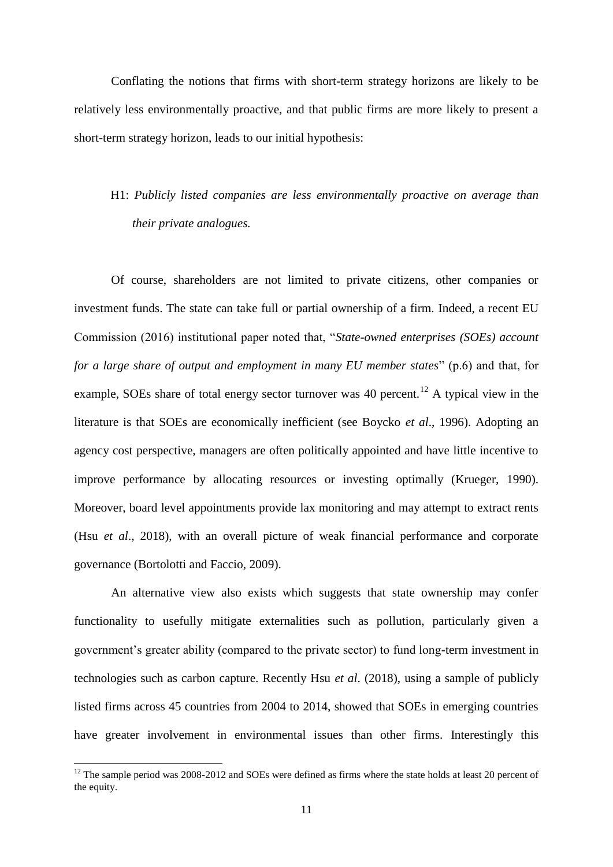Conflating the notions that firms with short-term strategy horizons are likely to be relatively less environmentally proactive, and that public firms are more likely to present a short-term strategy horizon, leads to our initial hypothesis:

# H1: *Publicly listed companies are less environmentally proactive on average than their private analogues.*

Of course, shareholders are not limited to private citizens, other companies or investment funds. The state can take full or partial ownership of a firm. Indeed, a recent EU Commission (2016) institutional paper noted that, "*State-owned enterprises (SOEs) account for a large share of output and employment in many EU member states*" (p.6) and that, for example, SOEs share of total energy sector turnover was 40 percent.<sup>12</sup> A typical view in the literature is that SOEs are economically inefficient (see Boycko *et al*., 1996). Adopting an agency cost perspective, managers are often politically appointed and have little incentive to improve performance by allocating resources or investing optimally (Krueger, 1990). Moreover, board level appointments provide lax monitoring and may attempt to extract rents (Hsu *et al*., 2018), with an overall picture of weak financial performance and corporate governance (Bortolotti and Faccio, 2009).

An alternative view also exists which suggests that state ownership may confer functionality to usefully mitigate externalities such as pollution, particularly given a government's greater ability (compared to the private sector) to fund long-term investment in technologies such as carbon capture. Recently Hsu *et al*. (2018), using a sample of publicly listed firms across 45 countries from 2004 to 2014, showed that SOEs in emerging countries have greater involvement in environmental issues than other firms. Interestingly this

1

 $12$  The sample period was 2008-2012 and SOEs were defined as firms where the state holds at least 20 percent of the equity.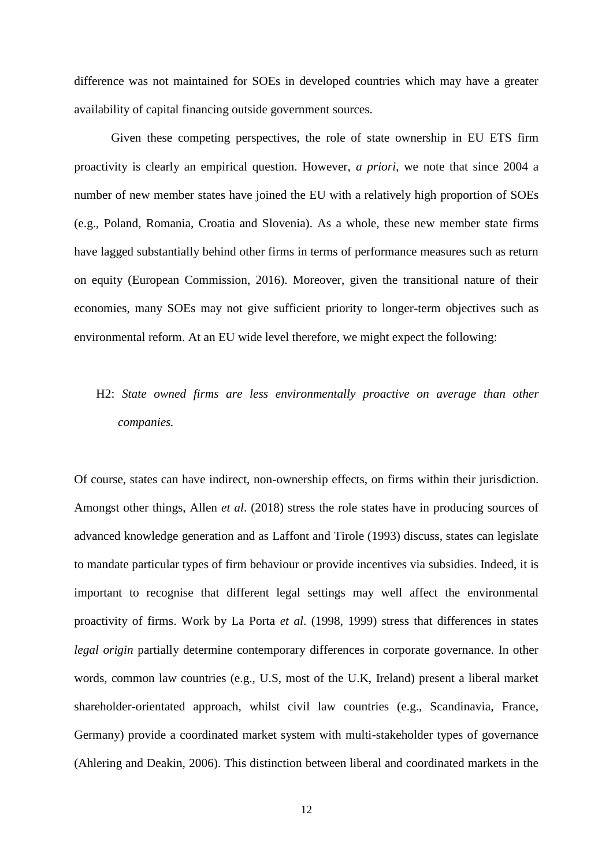difference was not maintained for SOEs in developed countries which may have a greater availability of capital financing outside government sources.

Given these competing perspectives, the role of state ownership in EU ETS firm proactivity is clearly an empirical question. However, *a priori*, we note that since 2004 a number of new member states have joined the EU with a relatively high proportion of SOEs (e.g., Poland, Romania, Croatia and Slovenia). As a whole, these new member state firms have lagged substantially behind other firms in terms of performance measures such as return on equity (European Commission, 2016). Moreover, given the transitional nature of their economies, many SOEs may not give sufficient priority to longer-term objectives such as environmental reform. At an EU wide level therefore, we might expect the following:

# H2: *State owned firms are less environmentally proactive on average than other companies.*

Of course, states can have indirect, non-ownership effects, on firms within their jurisdiction. Amongst other things, Allen *et al*. (2018) stress the role states have in producing sources of advanced knowledge generation and as Laffont and Tirole (1993) discuss, states can legislate to mandate particular types of firm behaviour or provide incentives via subsidies. Indeed, it is important to recognise that different legal settings may well affect the environmental proactivity of firms. Work by La Porta *et al*. (1998, 1999) stress that differences in states *legal origin* partially determine contemporary differences in corporate governance. In other words, common law countries (e.g., U.S, most of the U.K, Ireland) present a liberal market shareholder-orientated approach, whilst civil law countries (e.g., Scandinavia, France, Germany) provide a coordinated market system with multi-stakeholder types of governance (Ahlering and Deakin, 2006). This distinction between liberal and coordinated markets in the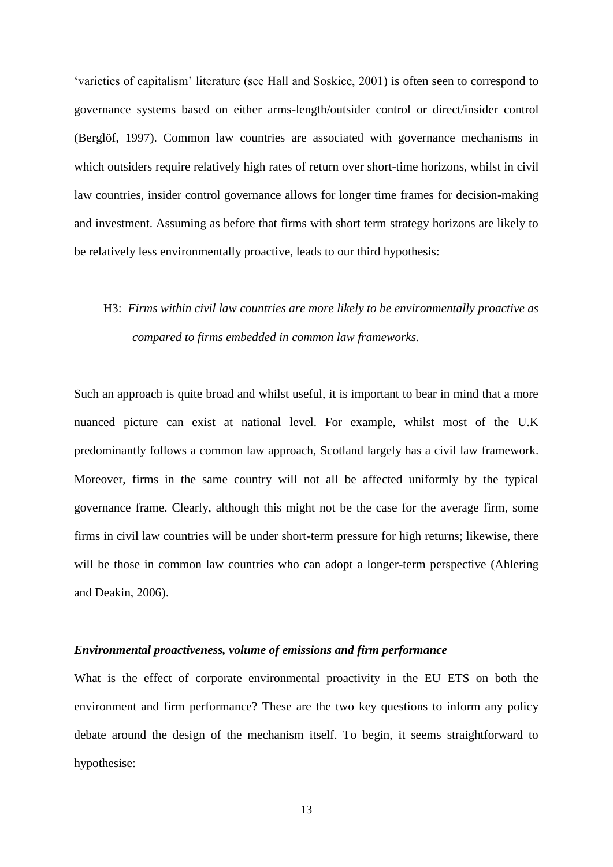'varieties of capitalism' literature (see Hall and Soskice, 2001) is often seen to correspond to governance systems based on either arms-length/outsider control or direct/insider control (Berglöf, 1997). Common law countries are associated with governance mechanisms in which outsiders require relatively high rates of return over short-time horizons, whilst in civil law countries, insider control governance allows for longer time frames for decision-making and investment. Assuming as before that firms with short term strategy horizons are likely to be relatively less environmentally proactive, leads to our third hypothesis:

# H3: *Firms within civil law countries are more likely to be environmentally proactive as compared to firms embedded in common law frameworks.*

Such an approach is quite broad and whilst useful, it is important to bear in mind that a more nuanced picture can exist at national level. For example, whilst most of the U.K predominantly follows a common law approach, Scotland largely has a civil law framework. Moreover, firms in the same country will not all be affected uniformly by the typical governance frame. Clearly, although this might not be the case for the average firm, some firms in civil law countries will be under short-term pressure for high returns; likewise, there will be those in common law countries who can adopt a longer-term perspective (Ahlering and Deakin, 2006).

### *Environmental proactiveness, volume of emissions and firm performance*

What is the effect of corporate environmental proactivity in the EU ETS on both the environment and firm performance? These are the two key questions to inform any policy debate around the design of the mechanism itself. To begin, it seems straightforward to hypothesise: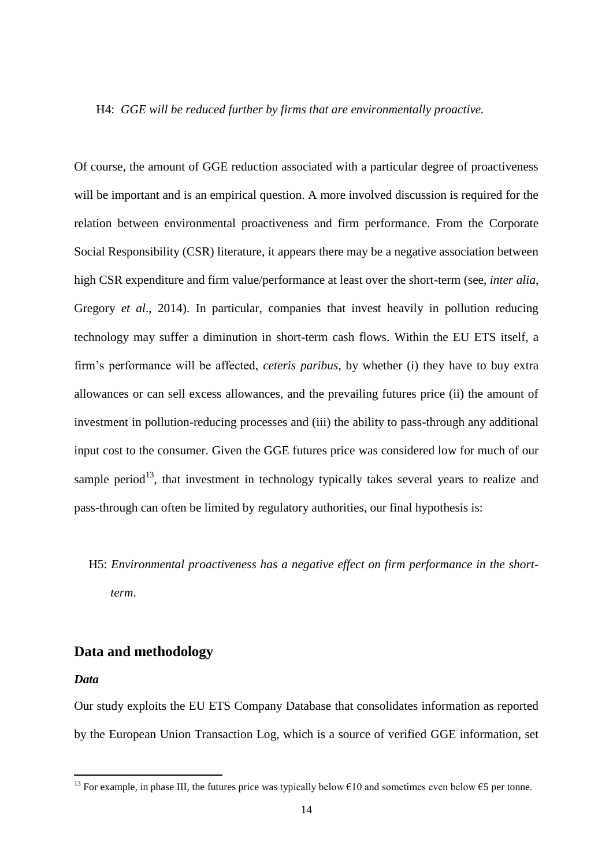#### H4: *GGE will be reduced further by firms that are environmentally proactive.*

Of course, the amount of GGE reduction associated with a particular degree of proactiveness will be important and is an empirical question. A more involved discussion is required for the relation between environmental proactiveness and firm performance. From the Corporate Social Responsibility (CSR) literature, it appears there may be a negative association between high CSR expenditure and firm value/performance at least over the short-term (see, *inter alia*, Gregory *et al*., 2014). In particular, companies that invest heavily in pollution reducing technology may suffer a diminution in short-term cash flows. Within the EU ETS itself, a firm's performance will be affected, *ceteris paribus*, by whether (i) they have to buy extra allowances or can sell excess allowances, and the prevailing futures price (ii) the amount of investment in pollution-reducing processes and (iii) the ability to pass-through any additional input cost to the consumer. Given the GGE futures price was considered low for much of our sample period<sup>13</sup>, that investment in technology typically takes several years to realize and pass-through can often be limited by regulatory authorities, our final hypothesis is:

# H5: *Environmental proactiveness has a negative effect on firm performance in the shortterm*.

## **Data and methodology**

#### *Data*

1

Our study exploits the EU ETS Company Database that consolidates information as reported by the European Union Transaction Log, which is a source of verified GGE information, set

<sup>&</sup>lt;sup>13</sup> For example, in phase III, the futures price was typically below  $\epsilon$ 10 and sometimes even below  $\epsilon$ 5 per tonne.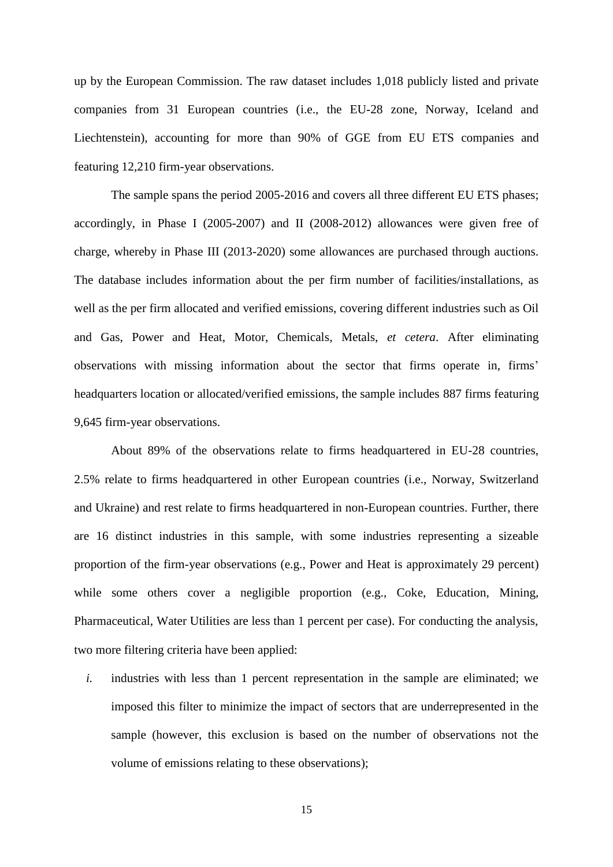up by the European Commission. The raw dataset includes 1,018 publicly listed and private companies from 31 European countries (i.e., the EU-28 zone, Norway, Iceland and Liechtenstein), accounting for more than 90% of GGE from EU ETS companies and featuring 12,210 firm-year observations.

The sample spans the period 2005-2016 and covers all three different EU ETS phases; accordingly, in Phase I (2005-2007) and II (2008-2012) allowances were given free of charge, whereby in Phase III (2013-2020) some allowances are purchased through auctions. The database includes information about the per firm number of facilities/installations, as well as the per firm allocated and verified emissions, covering different industries such as Oil and Gas, Power and Heat, Motor, Chemicals, Metals, *et cetera*. After eliminating observations with missing information about the sector that firms operate in, firms' headquarters location or allocated/verified emissions, the sample includes 887 firms featuring 9,645 firm-year observations.

About 89% of the observations relate to firms headquartered in EU-28 countries, 2.5% relate to firms headquartered in other European countries (i.e., Norway, Switzerland and Ukraine) and rest relate to firms headquartered in non-European countries. Further, there are 16 distinct industries in this sample, with some industries representing a sizeable proportion of the firm-year observations (e.g., Power and Heat is approximately 29 percent) while some others cover a negligible proportion (e.g., Coke, Education, Mining, Pharmaceutical, Water Utilities are less than 1 percent per case). For conducting the analysis, two more filtering criteria have been applied:

*i.* industries with less than 1 percent representation in the sample are eliminated; we imposed this filter to minimize the impact of sectors that are underrepresented in the sample (however, this exclusion is based on the number of observations not the volume of emissions relating to these observations);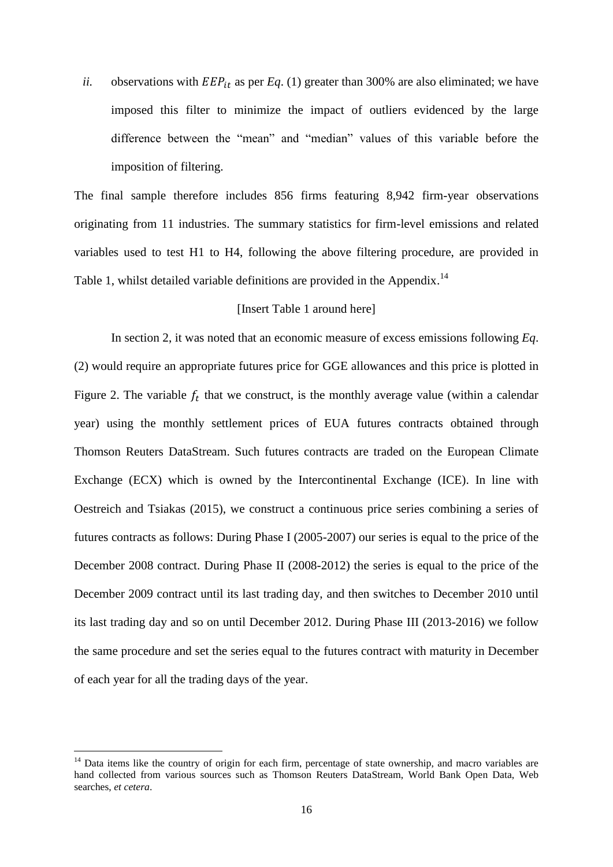*ii.* observations with  $EEP_{it}$  as per *Eq.* (1) greater than 300% are also eliminated; we have imposed this filter to minimize the impact of outliers evidenced by the large difference between the "mean" and "median" values of this variable before the imposition of filtering.

The final sample therefore includes 856 firms featuring 8,942 firm-year observations originating from 11 industries. The summary statistics for firm-level emissions and related variables used to test H1 to H4, following the above filtering procedure, are provided in Table 1, whilst detailed variable definitions are provided in the Appendix.<sup>14</sup>

### [Insert Table 1 around here]

In section 2, it was noted that an economic measure of excess emissions following *Eq*. (2) would require an appropriate futures price for GGE allowances and this price is plotted in Figure 2. The variable  $f_t$  that we construct, is the monthly average value (within a calendar year) using the monthly settlement prices of EUA futures contracts obtained through Thomson Reuters DataStream. Such futures contracts are traded on the European Climate Exchange (ECX) which is owned by the Intercontinental Exchange (ICE). In line with Oestreich and Tsiakas (2015), we construct a continuous price series combining a series of futures contracts as follows: During Phase I (2005-2007) our series is equal to the price of the December 2008 contract. During Phase II (2008-2012) the series is equal to the price of the December 2009 contract until its last trading day, and then switches to December 2010 until its last trading day and so on until December 2012. During Phase III (2013-2016) we follow the same procedure and set the series equal to the futures contract with maturity in December of each year for all the trading days of the year.

<u>.</u>

<sup>&</sup>lt;sup>14</sup> Data items like the country of origin for each firm, percentage of state ownership, and macro variables are hand collected from various sources such as Thomson Reuters DataStream, World Bank Open Data, Web searches, *et cetera*.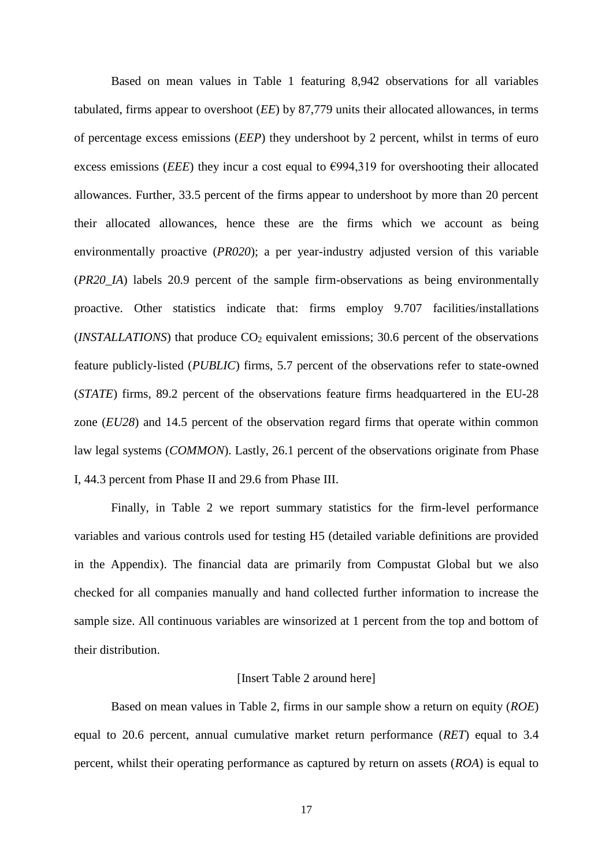Based on mean values in Table 1 featuring 8,942 observations for all variables tabulated, firms appear to overshoot (*EE*) by 87,779 units their allocated allowances, in terms of percentage excess emissions (*EEP*) they undershoot by 2 percent, whilst in terms of euro excess emissions (*EEE*) they incur a cost equal to  $\epsilon$ 994,319 for overshooting their allocated allowances. Further, 33.5 percent of the firms appear to undershoot by more than 20 percent their allocated allowances, hence these are the firms which we account as being environmentally proactive (*PR020*); a per year-industry adjusted version of this variable (*PR20\_IA*) labels 20.9 percent of the sample firm-observations as being environmentally proactive. Other statistics indicate that: firms employ 9.707 facilities/installations  $(NSTALLATIONS)$  that produce  $CO<sub>2</sub>$  equivalent emissions; 30.6 percent of the observations feature publicly-listed (*PUBLIC*) firms, 5.7 percent of the observations refer to state-owned (*STATE*) firms, 89.2 percent of the observations feature firms headquartered in the EU-28 zone (*EU28*) and 14.5 percent of the observation regard firms that operate within common law legal systems *(COMMON)*. Lastly, 26.1 percent of the observations originate from Phase I, 44.3 percent from Phase II and 29.6 from Phase III.

Finally, in Table 2 we report summary statistics for the firm-level performance variables and various controls used for testing H5 (detailed variable definitions are provided in the Appendix). The financial data are primarily from Compustat Global but we also checked for all companies manually and hand collected further information to increase the sample size. All continuous variables are winsorized at 1 percent from the top and bottom of their distribution.

#### [Insert Table 2 around here]

Based on mean values in Table 2, firms in our sample show a return on equity (*ROE*) equal to 20.6 percent, annual cumulative market return performance (*RET*) equal to 3.4 percent, whilst their operating performance as captured by return on assets (*ROA*) is equal to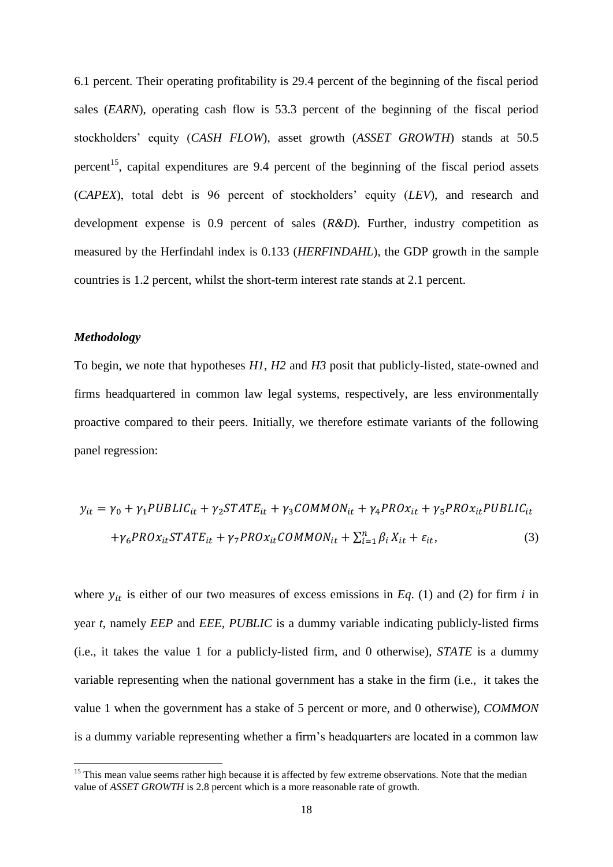6.1 percent. Their operating profitability is 29.4 percent of the beginning of the fiscal period sales (*EARN*), operating cash flow is 53.3 percent of the beginning of the fiscal period stockholders' equity (*CASH FLOW*), asset growth (*ASSET GROWTH*) stands at 50.5 percent<sup>15</sup>, capital expenditures are 9.4 percent of the beginning of the fiscal period assets (*CAPEX*), total debt is 96 percent of stockholders' equity (*LEV*), and research and development expense is 0.9 percent of sales (*R&D*). Further, industry competition as measured by the Herfindahl index is 0.133 (*HERFINDAHL*), the GDP growth in the sample countries is 1.2 percent, whilst the short-term interest rate stands at 2.1 percent.

#### *Methodology*

1

To begin, we note that hypotheses *H1*, *H2* and *H3* posit that publicly-listed, state-owned and firms headquartered in common law legal systems, respectively, are less environmentally proactive compared to their peers. Initially, we therefore estimate variants of the following panel regression:

$$
y_{it} = \gamma_0 + \gamma_1 PUBLIC_{it} + \gamma_2 STATE_{it} + \gamma_3 COMMON_{it} + \gamma_4 PROx_{it} + \gamma_5 PROx_{it} PUBLIC_{it}
$$

$$
+ \gamma_6 PROx_{it} STATE_{it} + \gamma_7 PROx_{it} COMMON_{it} + \sum_{i=1}^{n} \beta_i X_{it} + \varepsilon_{it},
$$
(3)

where  $y_{it}$  is either of our two measures of excess emissions in *Eq.* (1) and (2) for firm *i* in year *t*, namely *EEP* and *EEE*, *PUBLIC* is a dummy variable indicating publicly-listed firms (i.e., it takes the value 1 for a publicly-listed firm, and 0 otherwise), *STATE* is a dummy variable representing when the national government has a stake in the firm (i.e., it takes the value 1 when the government has a stake of 5 percent or more, and 0 otherwise), *COMMON*  is a dummy variable representing whether a firm's headquarters are located in a common law

<sup>&</sup>lt;sup>15</sup> This mean value seems rather high because it is affected by few extreme observations. Note that the median value of *ASSET GROWTH* is 2.8 percent which is a more reasonable rate of growth.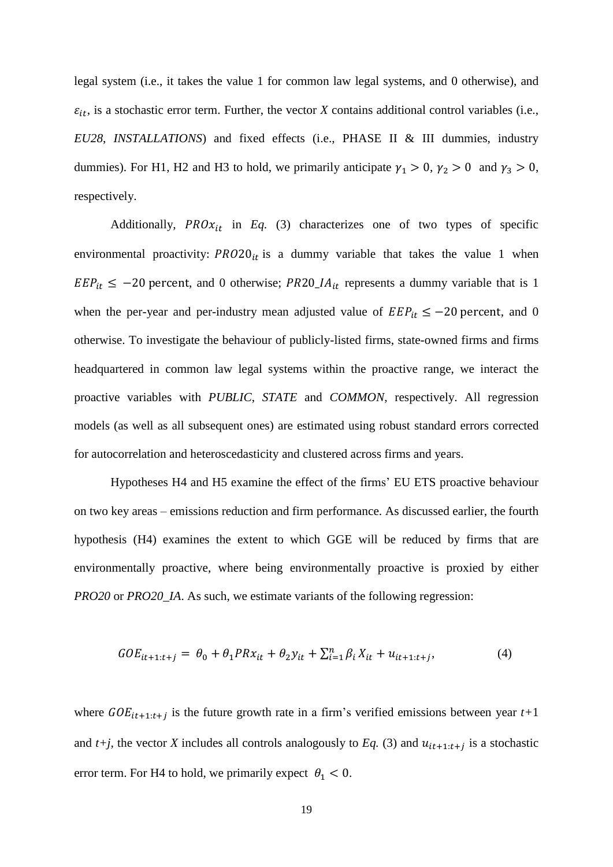legal system (i.e., it takes the value 1 for common law legal systems, and 0 otherwise), and  $\varepsilon_{it}$ , is a stochastic error term. Further, the vector *X* contains additional control variables (i.e., *EU28*, *INSTALLATIONS*) and fixed effects (i.e., PHASE II & III dummies, industry dummies). For H1, H2 and H3 to hold, we primarily anticipate  $\gamma_1 > 0$ ,  $\gamma_2 > 0$  and  $\gamma_3 > 0$ , respectively.

Additionally,  $PROx_{it}$  in *Eq.* (3) characterizes one of two types of specific environmental proactivity:  $PRO20_{it}$  is a dummy variable that takes the value 1 when  $EEP_{it} \le -20$  percent, and 0 otherwise; PR20\_IA<sub>it</sub> represents a dummy variable that is 1 when the per-year and per-industry mean adjusted value of  $EEP_{it} \le -20$  percent, and 0 otherwise. To investigate the behaviour of publicly-listed firms, state-owned firms and firms headquartered in common law legal systems within the proactive range, we interact the proactive variables with *PUBLIC*, *STATE* and *COMMON*, respectively. All regression models (as well as all subsequent ones) are estimated using robust standard errors corrected for autocorrelation and heteroscedasticity and clustered across firms and years.

Hypotheses H4 and H5 examine the effect of the firms' EU ETS proactive behaviour on two key areas – emissions reduction and firm performance. As discussed earlier, the fourth hypothesis (H4) examines the extent to which GGE will be reduced by firms that are environmentally proactive, where being environmentally proactive is proxied by either *PRO20* or *PRO20\_IA*. As such, we estimate variants of the following regression:

$$
GOE_{it+1:t+j} = \theta_0 + \theta_1 PRx_{it} + \theta_2 y_{it} + \sum_{i=1}^n \beta_i X_{it} + u_{it+1:t+j},
$$
\n(4)

where  $GOE_{it+1:t+j}$  is the future growth rate in a firm's verified emissions between year  $t+1$ and  $t+j$ , the vector *X* includes all controls analogously to Eq. (3) and  $u_{it+1:t+j}$  is a stochastic error term. For H4 to hold, we primarily expect  $\theta_1 < 0$ .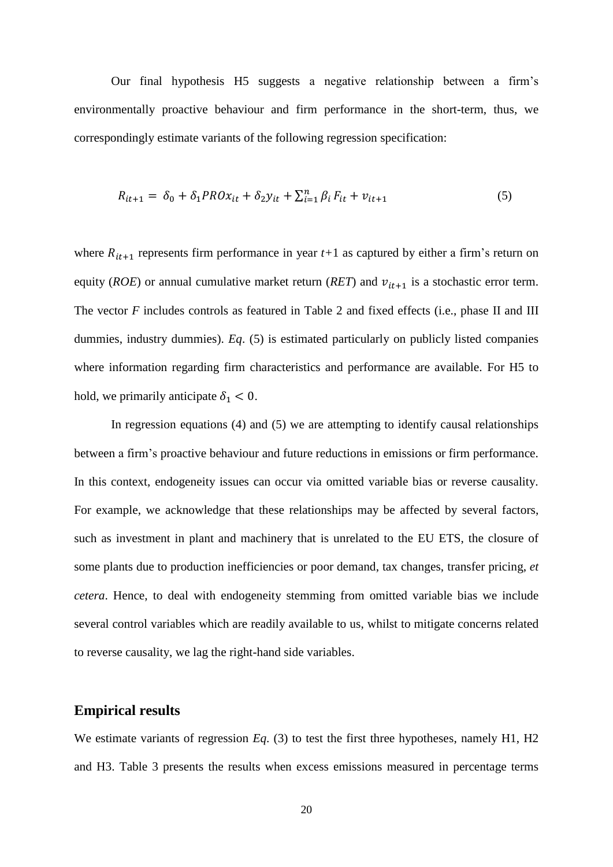Our final hypothesis H5 suggests a negative relationship between a firm's environmentally proactive behaviour and firm performance in the short-term, thus, we correspondingly estimate variants of the following regression specification:

$$
R_{it+1} = \delta_0 + \delta_1 P R O x_{it} + \delta_2 y_{it} + \sum_{i=1}^n \beta_i F_{it} + v_{it+1}
$$
\n(5)

where  $R_{it+1}$  represents firm performance in year  $t+1$  as captured by either a firm's return on equity (*ROE*) or annual cumulative market return (*RET*) and  $v_{it+1}$  is a stochastic error term. The vector *F* includes controls as featured in Table 2 and fixed effects (i.e., phase II and III dummies, industry dummies). *Eq*. (5) is estimated particularly on publicly listed companies where information regarding firm characteristics and performance are available. For H5 to hold, we primarily anticipate  $\delta_1 < 0$ .

In regression equations  $(4)$  and  $(5)$  we are attempting to identify causal relationships between a firm's proactive behaviour and future reductions in emissions or firm performance. In this context, endogeneity issues can occur via omitted variable bias or reverse causality. For example, we acknowledge that these relationships may be affected by several factors, such as investment in plant and machinery that is unrelated to the EU ETS, the closure of some plants due to production inefficiencies or poor demand, tax changes, transfer pricing, *et cetera*. Hence, to deal with endogeneity stemming from omitted variable bias we include several control variables which are readily available to us, whilst to mitigate concerns related to reverse causality, we lag the right-hand side variables.

## **Empirical results**

We estimate variants of regression *Eq*. (3) to test the first three hypotheses, namely H1, H2 and H3. Table 3 presents the results when excess emissions measured in percentage terms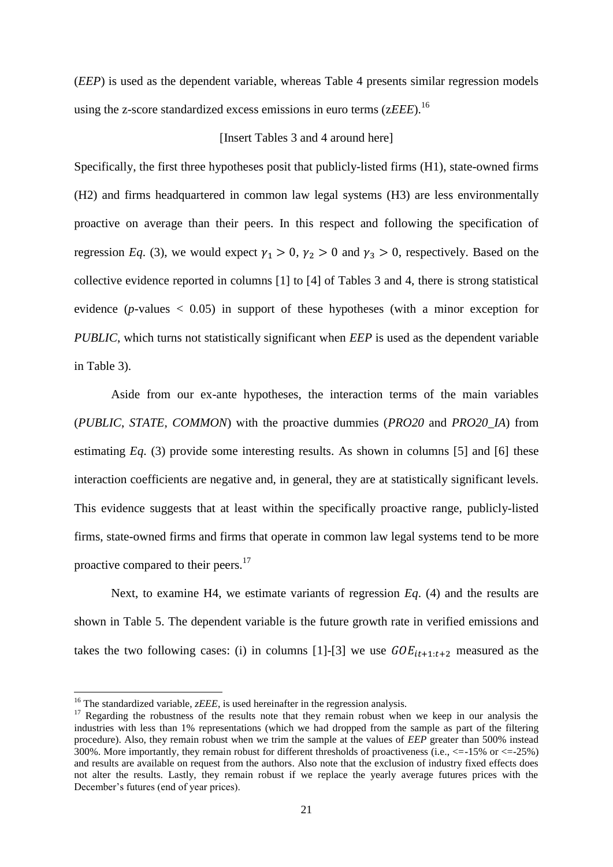(*EEP*) is used as the dependent variable, whereas Table 4 presents similar regression models using the z-score standardized excess emissions in euro terms (z*EEE*).<sup>16</sup>

### [Insert Tables 3 and 4 around here]

Specifically, the first three hypotheses posit that publicly-listed firms (H1), state-owned firms (H2) and firms headquartered in common law legal systems (H3) are less environmentally proactive on average than their peers. In this respect and following the specification of regression *Eq.* (3), we would expect  $\gamma_1 > 0$ ,  $\gamma_2 > 0$  and  $\gamma_3 > 0$ , respectively. Based on the collective evidence reported in columns [1] to [4] of Tables 3 and 4, there is strong statistical evidence ( $p$ -values  $\lt$  0.05) in support of these hypotheses (with a minor exception for *PUBLIC*, which turns not statistically significant when *EEP* is used as the dependent variable in Table 3).

Aside from our ex-ante hypotheses, the interaction terms of the main variables (*PUBLIC*, *STATE*, *COMMON*) with the proactive dummies (*PRO20* and *PRO20\_IA*) from estimating *Eq*. (3) provide some interesting results. As shown in columns [5] and [6] these interaction coefficients are negative and, in general, they are at statistically significant levels. This evidence suggests that at least within the specifically proactive range, publicly-listed firms, state-owned firms and firms that operate in common law legal systems tend to be more proactive compared to their peers.<sup>17</sup>

Next, to examine H4, we estimate variants of regression *Eq*. (4) and the results are shown in Table 5. The dependent variable is the future growth rate in verified emissions and takes the two following cases: (i) in columns [1]-[3] we use  $GOE_{it+1:t+2}$  measured as the

1

<sup>&</sup>lt;sup>16</sup> The standardized variable, *zEEE*, is used hereinafter in the regression analysis.

 $17$  Regarding the robustness of the results note that they remain robust when we keep in our analysis the industries with less than 1% representations (which we had dropped from the sample as part of the filtering procedure). Also, they remain robust when we trim the sample at the values of *EEP* greater than 500% instead 300%. More importantly, they remain robust for different thresholds of proactiveness (i.e.,  $\leq -15\%$  or  $\leq -25\%$ ) and results are available on request from the authors. Also note that the exclusion of industry fixed effects does not alter the results. Lastly, they remain robust if we replace the yearly average futures prices with the December's futures (end of year prices).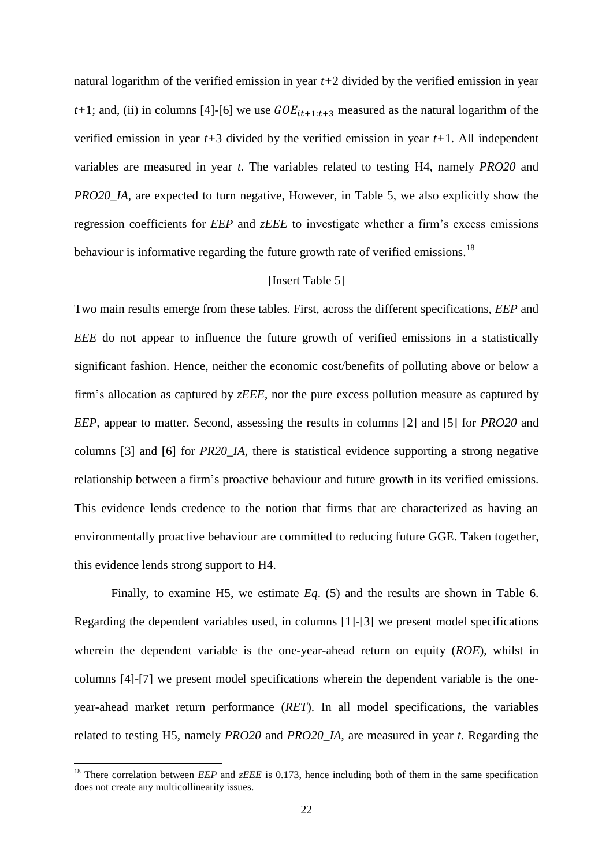natural logarithm of the verified emission in year *t+*2 divided by the verified emission in year  $t+1$ ; and, (ii) in columns [4]-[6] we use  $GOE_{it+1:t+3}$  measured as the natural logarithm of the verified emission in year *t+*3 divided by the verified emission in year *t+*1. All independent variables are measured in year *t*. The variables related to testing H4, namely *PRO20* and *PRO20\_IA*, are expected to turn negative, However, in Table 5, we also explicitly show the regression coefficients for *EEP* and *zEEE* to investigate whether a firm's excess emissions behaviour is informative regarding the future growth rate of verified emissions.<sup>18</sup>

### [Insert Table 5]

Two main results emerge from these tables. First, across the different specifications, *EEP* and *EEE* do not appear to influence the future growth of verified emissions in a statistically significant fashion. Hence, neither the economic cost/benefits of polluting above or below a firm's allocation as captured by *zEEE*, nor the pure excess pollution measure as captured by *EEP,* appear to matter. Second, assessing the results in columns [2] and [5] for *PRO20* and columns [3] and [6] for *PR20\_IA*, there is statistical evidence supporting a strong negative relationship between a firm's proactive behaviour and future growth in its verified emissions. This evidence lends credence to the notion that firms that are characterized as having an environmentally proactive behaviour are committed to reducing future GGE. Taken together, this evidence lends strong support to H4.

Finally, to examine H5, we estimate *Eq*. (5) and the results are shown in Table 6. Regarding the dependent variables used, in columns [1]-[3] we present model specifications wherein the dependent variable is the one-year-ahead return on equity (*ROE*), whilst in columns [4]-[7] we present model specifications wherein the dependent variable is the oneyear-ahead market return performance (*RET*). In all model specifications, the variables related to testing H5, namely *PRO20* and *PRO20\_IA*, are measured in year *t*. Regarding the

1

<sup>&</sup>lt;sup>18</sup> There correlation between *EEP* and *zEEE* is 0.173, hence including both of them in the same specification does not create any multicollinearity issues.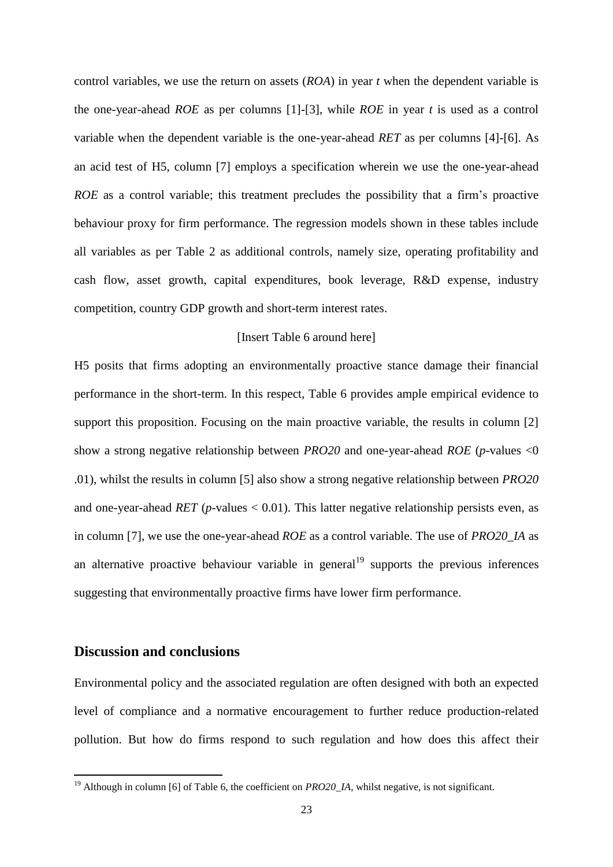control variables, we use the return on assets (*ROA*) in year *t* when the dependent variable is the one-year-ahead *ROE* as per columns [1]-[3], while *ROE* in year *t* is used as a control variable when the dependent variable is the one-year-ahead *RET* as per columns [4]-[6]. As an acid test of H5, column [7] employs a specification wherein we use the one-year-ahead *ROE* as a control variable; this treatment precludes the possibility that a firm's proactive behaviour proxy for firm performance. The regression models shown in these tables include all variables as per Table 2 as additional controls, namely size, operating profitability and cash flow, asset growth, capital expenditures, book leverage, R&D expense, industry competition, country GDP growth and short-term interest rates.

### [Insert Table 6 around here]

H5 posits that firms adopting an environmentally proactive stance damage their financial performance in the short-term. In this respect, Table 6 provides ample empirical evidence to support this proposition. Focusing on the main proactive variable, the results in column [2] show a strong negative relationship between *PRO20* and one-year-ahead *ROE* (*p*-values <0 .01), whilst the results in column [5] also show a strong negative relationship between *PRO20* and one-year-ahead *RET* ( $p$ -values  $< 0.01$ ). This latter negative relationship persists even, as in column [7], we use the one-year-ahead *ROE* as a control variable. The use of *PRO20\_IA* as an alternative proactive behaviour variable in general<sup>19</sup> supports the previous inferences suggesting that environmentally proactive firms have lower firm performance.

## **Discussion and conclusions**

1

Environmental policy and the associated regulation are often designed with both an expected level of compliance and a normative encouragement to further reduce production-related pollution. But how do firms respond to such regulation and how does this affect their

<sup>&</sup>lt;sup>19</sup> Although in column [6] of Table 6, the coefficient on *PRO20\_IA*, whilst negative, is not significant.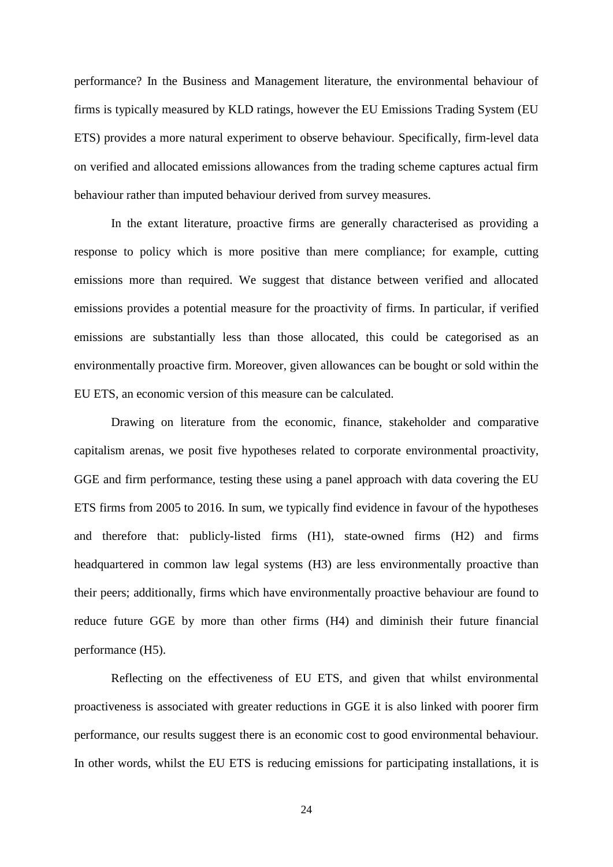performance? In the Business and Management literature, the environmental behaviour of firms is typically measured by KLD ratings, however the EU Emissions Trading System (EU ETS) provides a more natural experiment to observe behaviour. Specifically, firm-level data on verified and allocated emissions allowances from the trading scheme captures actual firm behaviour rather than imputed behaviour derived from survey measures.

In the extant literature, proactive firms are generally characterised as providing a response to policy which is more positive than mere compliance; for example, cutting emissions more than required. We suggest that distance between verified and allocated emissions provides a potential measure for the proactivity of firms. In particular, if verified emissions are substantially less than those allocated, this could be categorised as an environmentally proactive firm. Moreover, given allowances can be bought or sold within the EU ETS, an economic version of this measure can be calculated.

Drawing on literature from the economic, finance, stakeholder and comparative capitalism arenas, we posit five hypotheses related to corporate environmental proactivity, GGE and firm performance, testing these using a panel approach with data covering the EU ETS firms from 2005 to 2016. In sum, we typically find evidence in favour of the hypotheses and therefore that: publicly-listed firms (H1), state-owned firms (H2) and firms headquartered in common law legal systems (H3) are less environmentally proactive than their peers; additionally, firms which have environmentally proactive behaviour are found to reduce future GGE by more than other firms (H4) and diminish their future financial performance (H5).

Reflecting on the effectiveness of EU ETS, and given that whilst environmental proactiveness is associated with greater reductions in GGE it is also linked with poorer firm performance, our results suggest there is an economic cost to good environmental behaviour. In other words, whilst the EU ETS is reducing emissions for participating installations, it is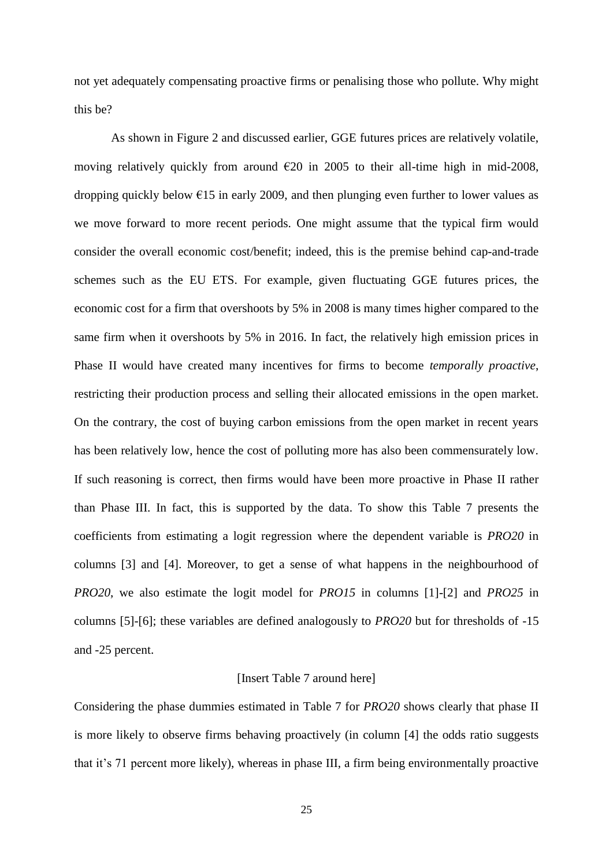not yet adequately compensating proactive firms or penalising those who pollute. Why might this be?

As shown in Figure 2 and discussed earlier, GGE futures prices are relatively volatile, moving relatively quickly from around  $\epsilon$ 20 in 2005 to their all-time high in mid-2008, dropping quickly below  $\epsilon$ 15 in early 2009, and then plunging even further to lower values as we move forward to more recent periods. One might assume that the typical firm would consider the overall economic cost/benefit; indeed, this is the premise behind cap-and-trade schemes such as the EU ETS. For example, given fluctuating GGE futures prices, the economic cost for a firm that overshoots by 5% in 2008 is many times higher compared to the same firm when it overshoots by 5% in 2016. In fact, the relatively high emission prices in Phase II would have created many incentives for firms to become *temporally proactive*, restricting their production process and selling their allocated emissions in the open market. On the contrary, the cost of buying carbon emissions from the open market in recent years has been relatively low, hence the cost of polluting more has also been commensurately low. If such reasoning is correct, then firms would have been more proactive in Phase II rather than Phase III. In fact, this is supported by the data. To show this Table 7 presents the coefficients from estimating a logit regression where the dependent variable is *PRO20* in columns [3] and [4]. Moreover, to get a sense of what happens in the neighbourhood of *PRO20*, we also estimate the logit model for *PRO15* in columns [1]-[2] and *PRO25* in columns [5]-[6]; these variables are defined analogously to *PRO20* but for thresholds of -15 and -25 percent.

### [Insert Table 7 around here]

Considering the phase dummies estimated in Table 7 for *PRO20* shows clearly that phase II is more likely to observe firms behaving proactively (in column [4] the odds ratio suggests that it's 71 percent more likely), whereas in phase III, a firm being environmentally proactive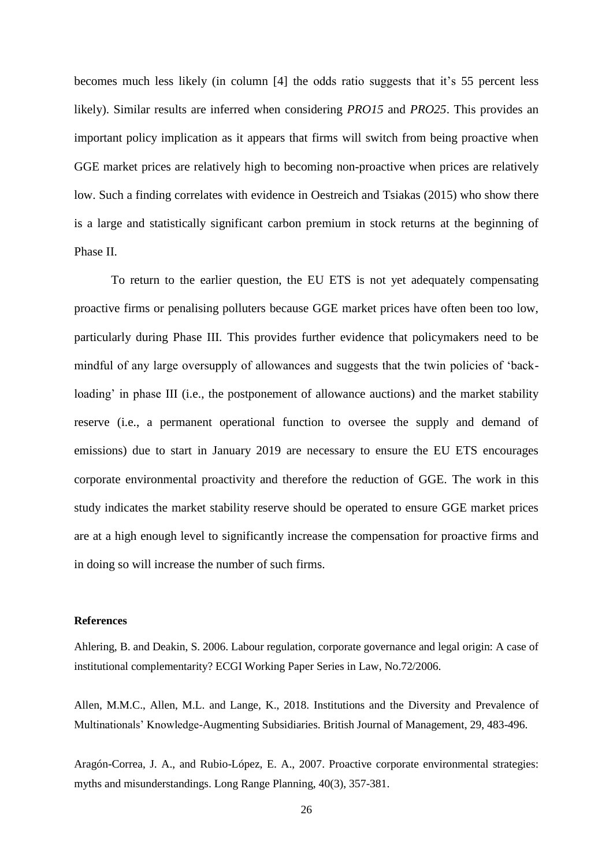becomes much less likely (in column [4] the odds ratio suggests that it's 55 percent less likely). Similar results are inferred when considering *PRO15* and *PRO25*. This provides an important policy implication as it appears that firms will switch from being proactive when GGE market prices are relatively high to becoming non-proactive when prices are relatively low. Such a finding correlates with evidence in Oestreich and Tsiakas (2015) who show there is a large and statistically significant carbon premium in stock returns at the beginning of Phase II.

To return to the earlier question, the EU ETS is not yet adequately compensating proactive firms or penalising polluters because GGE market prices have often been too low, particularly during Phase III. This provides further evidence that policymakers need to be mindful of any large oversupply of allowances and suggests that the twin policies of 'backloading' in phase III (i.e., the postponement of allowance auctions) and the market stability reserve (i.e., a permanent operational function to oversee the supply and demand of emissions) due to start in January 2019 are necessary to ensure the EU ETS encourages corporate environmental proactivity and therefore the reduction of GGE. The work in this study indicates the market stability reserve should be operated to ensure GGE market prices are at a high enough level to significantly increase the compensation for proactive firms and in doing so will increase the number of such firms.

#### **References**

Ahlering, B. and Deakin, S. 2006. Labour regulation, corporate governance and legal origin: A case of institutional complementarity? ECGI Working Paper Series in Law, No.72/2006.

Allen, M.M.C., Allen, M.L. and Lange, K., 2018. Institutions and the Diversity and Prevalence of Multinationals' Knowledge-Augmenting Subsidiaries. British Journal of Management, 29, 483-496.

Aragón-Correa, J. A., and Rubio-López, E. A., 2007. Proactive corporate environmental strategies: myths and misunderstandings. Long Range Planning, 40(3), 357-381.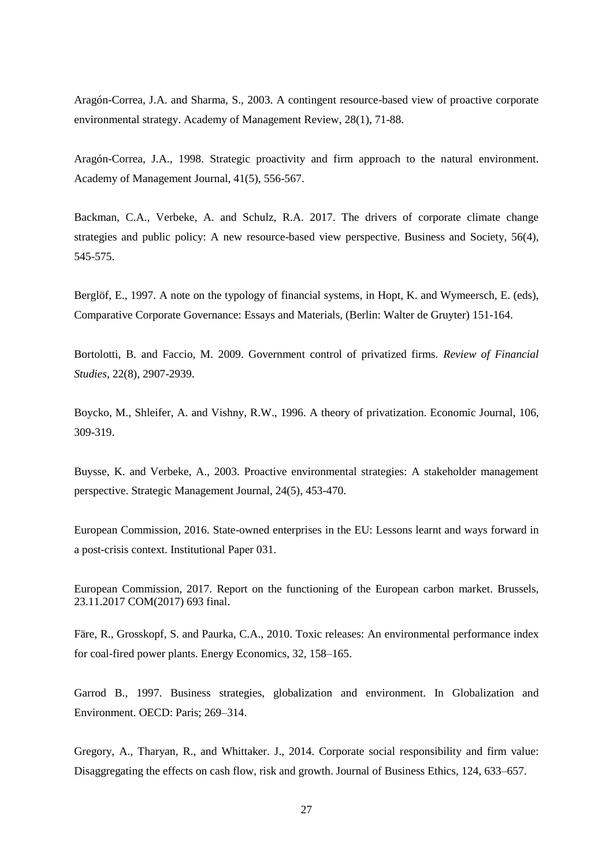Aragón-Correa, J.A. and Sharma, S., 2003. A contingent resource-based view of proactive corporate environmental strategy. Academy of Management Review, 28(1), 71-88.

Aragón-Correa, J.A., 1998. Strategic proactivity and firm approach to the natural environment. Academy of Management Journal, 41(5), 556-567.

Backman, C.A., Verbeke, A. and Schulz, R.A. 2017. The drivers of corporate climate change strategies and public policy: A new resource-based view perspective. Business and Society, 56(4), 545-575.

Berglöf, E., 1997. A note on the typology of financial systems, in Hopt, K. and Wymeersch, E. (eds), Comparative Corporate Governance: Essays and Materials, (Berlin: Walter de Gruyter) 151-164.

Bortolotti, B. and Faccio, M. 2009. Government control of privatized firms. *Review of Financial Studies*, 22(8), 2907-2939.

Boycko, M., Shleifer, A. and Vishny, R.W., 1996. A theory of privatization. Economic Journal, 106, 309-319.

Buysse, K. and Verbeke, A., 2003. Proactive environmental strategies: A stakeholder management perspective. Strategic Management Journal, 24(5), 453-470.

European Commission, 2016. State-owned enterprises in the EU: Lessons learnt and ways forward in a post-crisis context. Institutional Paper 031.

European Commission, 2017. Report on the functioning of the European carbon market. Brussels, 23.11.2017 COM(2017) 693 final.

Färe, R., Grosskopf, S. and Paurka, C.A., 2010. Toxic releases: An environmental performance index for coal-fired power plants. Energy Economics, 32, 158–165.

Garrod B., 1997. Business strategies, globalization and environment. In Globalization and Environment. OECD: Paris; 269–314.

Gregory, A., Tharyan, R., and Whittaker. J., 2014. Corporate social responsibility and firm value: Disaggregating the effects on cash flow, risk and growth. Journal of Business Ethics, 124, 633–657.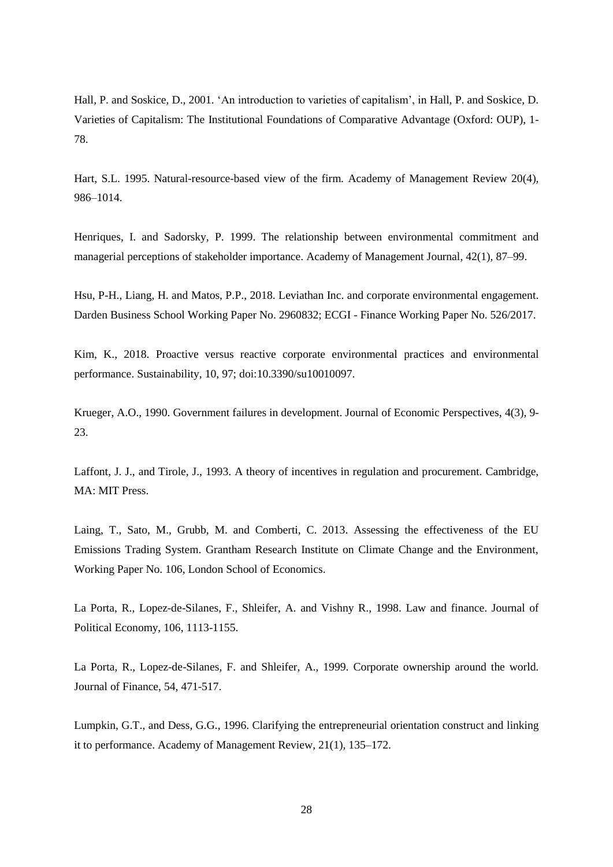Hall, P. and Soskice, D., 2001. 'An introduction to varieties of capitalism', in Hall, P. and Soskice, D. Varieties of Capitalism: The Institutional Foundations of Comparative Advantage (Oxford: OUP), 1- 78.

Hart, S.L. 1995. Natural-resource-based view of the firm. Academy of Management Review 20(4), 986–1014.

Henriques, I. and Sadorsky, P. 1999. The relationship between environmental commitment and managerial perceptions of stakeholder importance. Academy of Management Journal, 42(1), 87–99.

Hsu, P-H., Liang, H. and Matos, P.P., 2018. Leviathan Inc. and corporate environmental engagement. Darden Business School Working Paper No. 2960832; ECGI - Finance Working Paper No. 526/2017.

Kim, K., 2018. Proactive versus reactive corporate environmental practices and environmental performance. Sustainability, 10, 97; doi:10.3390/su10010097.

Krueger, A.O., 1990. Government failures in development. Journal of Economic Perspectives, 4(3), 9- 23.

Laffont, J. J., and Tirole, J., 1993. A theory of incentives in regulation and procurement. Cambridge, MA: MIT Press.

Laing, T., Sato, M., Grubb, M. and Comberti, C. 2013. Assessing the effectiveness of the EU Emissions Trading System. Grantham Research Institute on Climate Change and the Environment, Working Paper No. 106, London School of Economics.

La Porta, R., Lopez-de-Silanes, F., Shleifer, A. and Vishny R., 1998. Law and finance. Journal of Political Economy, 106, 1113-1155.

La Porta, R., Lopez-de-Silanes, F. and Shleifer, A., 1999. Corporate ownership around the world. Journal of Finance, 54, 471-517.

Lumpkin, G.T., and Dess, G.G., 1996. Clarifying the entrepreneurial orientation construct and linking it to performance. Academy of Management Review, 21(1), 135–172.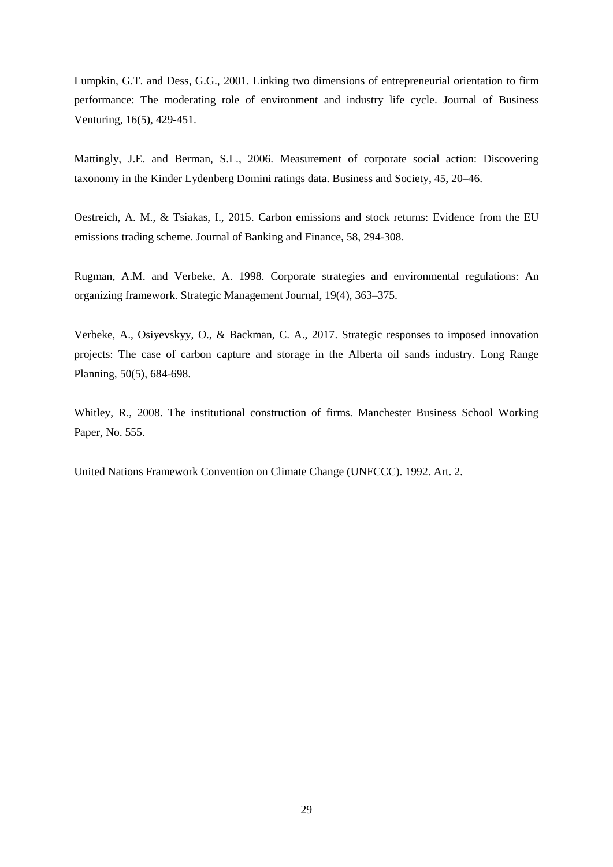Lumpkin, G.T. and Dess, G.G., 2001. Linking two dimensions of entrepreneurial orientation to firm performance: The moderating role of environment and industry life cycle. Journal of Business Venturing, 16(5), 429-451.

Mattingly, J.E. and Berman, S.L., 2006. Measurement of corporate social action: Discovering taxonomy in the Kinder Lydenberg Domini ratings data. Business and Society, 45, 20–46.

Oestreich, A. M., & Tsiakas, I., 2015. Carbon emissions and stock returns: Evidence from the EU emissions trading scheme. Journal of Banking and Finance, 58, 294-308.

Rugman, A.M. and Verbeke, A. 1998. Corporate strategies and environmental regulations: An organizing framework. Strategic Management Journal, 19(4), 363–375.

Verbeke, A., Osiyevskyy, O., & Backman, C. A., 2017. Strategic responses to imposed innovation projects: The case of carbon capture and storage in the Alberta oil sands industry. Long Range Planning, 50(5), 684-698.

Whitley, R., 2008. The institutional construction of firms. Manchester Business School Working Paper, No. 555.

United Nations Framework Convention on Climate Change (UNFCCC). 1992. Art. 2.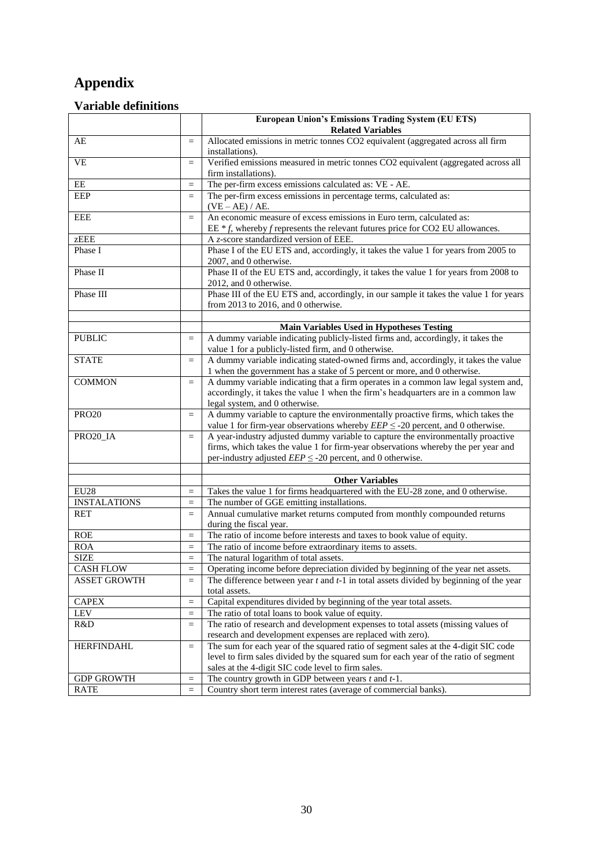# **Appendix**

## **Variable definitions**

|                     |                   | <b>European Union's Emissions Trading System (EU ETS)</b>                                                                                                              |
|---------------------|-------------------|------------------------------------------------------------------------------------------------------------------------------------------------------------------------|
|                     |                   | <b>Related Variables</b>                                                                                                                                               |
| AE                  | $=$               | Allocated emissions in metric tonnes CO2 equivalent (aggregated across all firm                                                                                        |
|                     |                   | installations).                                                                                                                                                        |
| <b>VE</b>           | $=$               | Verified emissions measured in metric tonnes CO2 equivalent (aggregated across all                                                                                     |
|                     |                   | firm installations).                                                                                                                                                   |
| EE                  | $=$               | The per-firm excess emissions calculated as: VE - AE.                                                                                                                  |
| <b>EEP</b>          | $=$               | The per-firm excess emissions in percentage terms, calculated as:                                                                                                      |
|                     |                   | $(VE-AE)/AE$ .                                                                                                                                                         |
| <b>EEE</b>          | $=$               | An economic measure of excess emissions in Euro term, calculated as:                                                                                                   |
|                     |                   | EE $* f$ , whereby f represents the relevant futures price for CO2 EU allowances.                                                                                      |
| zEEE                |                   | A z-score standardized version of EEE.                                                                                                                                 |
| Phase I             |                   | Phase I of the EU ETS and, accordingly, it takes the value 1 for years from 2005 to                                                                                    |
|                     |                   | 2007, and 0 otherwise.                                                                                                                                                 |
| Phase II            |                   | Phase II of the EU ETS and, accordingly, it takes the value 1 for years from 2008 to                                                                                   |
|                     |                   | 2012, and 0 otherwise.                                                                                                                                                 |
| Phase III           |                   | Phase III of the EU ETS and, accordingly, in our sample it takes the value 1 for years                                                                                 |
|                     |                   | from 2013 to 2016, and 0 otherwise.                                                                                                                                    |
|                     |                   |                                                                                                                                                                        |
|                     |                   | <b>Main Variables Used in Hypotheses Testing</b>                                                                                                                       |
| <b>PUBLIC</b>       | $=$               | A dummy variable indicating publicly-listed firms and, accordingly, it takes the                                                                                       |
|                     |                   | value 1 for a publicly-listed firm, and 0 otherwise.                                                                                                                   |
| <b>STATE</b>        | $=$               | A dummy variable indicating stated-owned firms and, accordingly, it takes the value                                                                                    |
|                     |                   | 1 when the government has a stake of 5 percent or more, and 0 otherwise.                                                                                               |
| <b>COMMON</b>       | $\equiv$          | A dummy variable indicating that a firm operates in a common law legal system and,                                                                                     |
|                     |                   | accordingly, it takes the value 1 when the firm's headquarters are in a common law                                                                                     |
|                     |                   | legal system, and 0 otherwise.                                                                                                                                         |
| <b>PRO20</b>        | $=$               | A dummy variable to capture the environmentally proactive firms, which takes the                                                                                       |
|                     |                   | value 1 for firm-year observations whereby $EEP \leq -20$ percent, and 0 otherwise.                                                                                    |
| PRO20_IA            | $\qquad \qquad =$ | A year-industry adjusted dummy variable to capture the environmentally proactive<br>firms, which takes the value 1 for firm-year observations whereby the per year and |
|                     |                   | per-industry adjusted $EEP \leq -20$ percent, and 0 otherwise.                                                                                                         |
|                     |                   |                                                                                                                                                                        |
|                     |                   | <b>Other Variables</b>                                                                                                                                                 |
| <b>EU28</b>         | $=$               | Takes the value 1 for firms headquartered with the EU-28 zone, and 0 otherwise.                                                                                        |
| <b>INSTALATIONS</b> | $=$               | The number of GGE emitting installations.                                                                                                                              |
| <b>RET</b>          | $=$               | Annual cumulative market returns computed from monthly compounded returns                                                                                              |
|                     |                   | during the fiscal year.                                                                                                                                                |
| <b>ROE</b>          | $=$               | The ratio of income before interests and taxes to book value of equity.                                                                                                |
| <b>ROA</b>          | $=$               | The ratio of income before extraordinary items to assets.                                                                                                              |
| <b>SIZE</b>         | $=$               | The natural logarithm of total assets.                                                                                                                                 |
| <b>CASH FLOW</b>    | $=$               | Operating income before depreciation divided by beginning of the year net assets.                                                                                      |
| <b>ASSET GROWTH</b> | $\qquad \qquad =$ | The difference between year $t$ and $t-1$ in total assets divided by beginning of the year                                                                             |
|                     |                   | total assets.                                                                                                                                                          |
| <b>CAPEX</b>        | $\quad \  \  =$   | Capital expenditures divided by beginning of the year total assets.                                                                                                    |
| <b>LEV</b>          | $\equiv$          | The ratio of total loans to book value of equity.                                                                                                                      |
| R&D                 | $=$               | The ratio of research and development expenses to total assets (missing values of                                                                                      |
|                     |                   | research and development expenses are replaced with zero).                                                                                                             |
| <b>HERFINDAHL</b>   | $=$               | The sum for each year of the squared ratio of segment sales at the 4-digit SIC code                                                                                    |
|                     |                   | level to firm sales divided by the squared sum for each year of the ratio of segment                                                                                   |
|                     |                   | sales at the 4-digit SIC code level to firm sales.                                                                                                                     |
| <b>GDP GROWTH</b>   | $=$               | The country growth in GDP between years $t$ and $t-1$ .                                                                                                                |
| <b>RATE</b>         | $=$               | Country short term interest rates (average of commercial banks).                                                                                                       |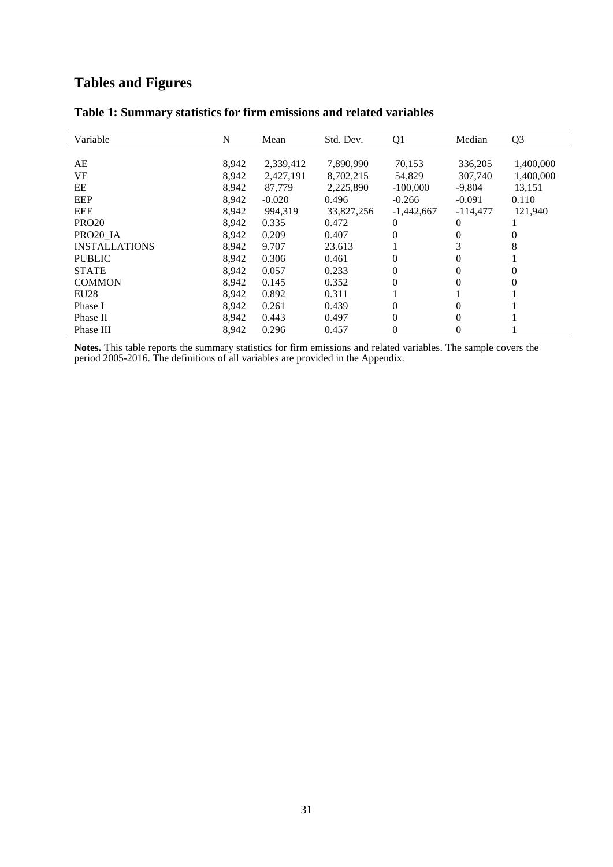# **Tables and Figures**

| Variable             | N     | Mean      | Std. Dev.  | Q <sub>1</sub> | Median     | Q <sub>3</sub> |
|----------------------|-------|-----------|------------|----------------|------------|----------------|
|                      |       |           |            |                |            |                |
| AE                   | 8,942 | 2,339,412 | 7,890,990  | 70,153         | 336,205    | 1,400,000      |
| <b>VE</b>            | 8,942 | 2,427,191 | 8,702,215  | 54,829         | 307,740    | 1,400,000      |
| EE                   | 8.942 | 87,779    | 2,225,890  | $-100,000$     | $-9,804$   | 13,151         |
| EEP                  | 8,942 | $-0.020$  | 0.496      | $-0.266$       | $-0.091$   | 0.110          |
| <b>EEE</b>           | 8,942 | 994,319   | 33,827,256 | $-1,442,667$   | $-114.477$ | 121.940        |
| <b>PRO20</b>         | 8,942 | 0.335     | 0.472      | 0              | 0          |                |
| PRO20 IA             | 8,942 | 0.209     | 0.407      | $\theta$       | $\theta$   | 0              |
| <b>INSTALLATIONS</b> | 8,942 | 9.707     | 23.613     |                | 3          | 8              |
| <b>PUBLIC</b>        | 8.942 | 0.306     | 0.461      | 0              | 0          |                |
| <b>STATE</b>         | 8.942 | 0.057     | 0.233      | 0              | 0          | 0              |
| <b>COMMON</b>        | 8,942 | 0.145     | 0.352      | 0              |            | 0              |
| EU28                 | 8.942 | 0.892     | 0.311      |                |            |                |
| Phase I              | 8.942 | 0.261     | 0.439      | 0              | 0          |                |
| Phase II             | 8,942 | 0.443     | 0.497      | $\theta$       | $\theta$   |                |
| Phase III            | 8.942 | 0.296     | 0.457      | $\theta$       | 0          |                |

## **Table 1: Summary statistics for firm emissions and related variables**

**Notes.** This table reports the summary statistics for firm emissions and related variables. The sample covers the period 2005-2016. The definitions of all variables are provided in the Appendix.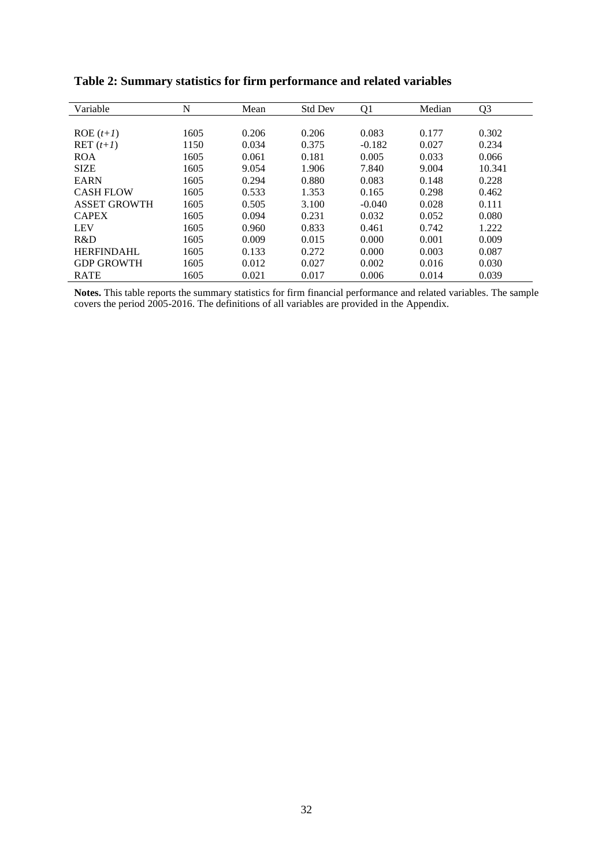| Variable            | N    | Mean  | <b>Std Dev</b> | Q <sub>1</sub> | Median | Q <sub>3</sub> |
|---------------------|------|-------|----------------|----------------|--------|----------------|
|                     |      |       |                |                |        |                |
| $ROE(t+1)$          | 1605 | 0.206 | 0.206          | 0.083          | 0.177  | 0.302          |
| $\text{RET}(t+1)$   | 1150 | 0.034 | 0.375          | $-0.182$       | 0.027  | 0.234          |
| <b>ROA</b>          | 1605 | 0.061 | 0.181          | 0.005          | 0.033  | 0.066          |
| <b>SIZE</b>         | 1605 | 9.054 | 1.906          | 7.840          | 9.004  | 10.341         |
| <b>EARN</b>         | 1605 | 0.294 | 0.880          | 0.083          | 0.148  | 0.228          |
| <b>CASH FLOW</b>    | 1605 | 0.533 | 1.353          | 0.165          | 0.298  | 0.462          |
| <b>ASSET GROWTH</b> | 1605 | 0.505 | 3.100          | $-0.040$       | 0.028  | 0.111          |
| <b>CAPEX</b>        | 1605 | 0.094 | 0.231          | 0.032          | 0.052  | 0.080          |
| <b>LEV</b>          | 1605 | 0.960 | 0.833          | 0.461          | 0.742  | 1.222          |
| R&D                 | 1605 | 0.009 | 0.015          | 0.000          | 0.001  | 0.009          |
| <b>HERFINDAHL</b>   | 1605 | 0.133 | 0.272          | 0.000          | 0.003  | 0.087          |
| <b>GDP GROWTH</b>   | 1605 | 0.012 | 0.027          | 0.002          | 0.016  | 0.030          |
| <b>RATE</b>         | 1605 | 0.021 | 0.017          | 0.006          | 0.014  | 0.039          |

**Table 2: Summary statistics for firm performance and related variables**

**Notes.** This table reports the summary statistics for firm financial performance and related variables. The sample covers the period 2005-2016. The definitions of all variables are provided in the Appendix.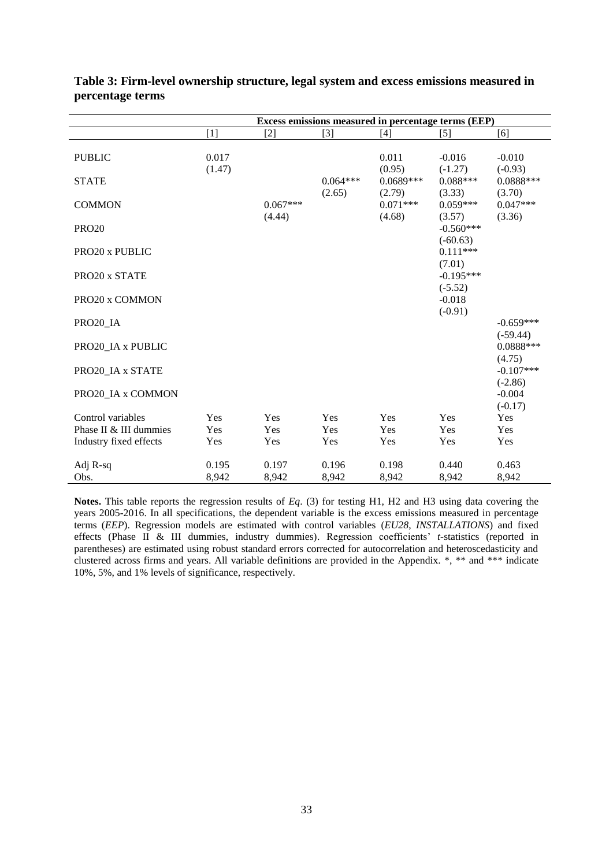|                        |                 |                      |                      | Excess emissions measured in percentage terms (EEP) |                           |                           |
|------------------------|-----------------|----------------------|----------------------|-----------------------------------------------------|---------------------------|---------------------------|
|                        | [1]             | [2]                  | $[3]$                | $[4]$                                               | [5]                       | [6]                       |
| <b>PUBLIC</b>          | 0.017<br>(1.47) |                      |                      | 0.011<br>(0.95)                                     | $-0.016$<br>$(-1.27)$     | $-0.010$<br>$(-0.93)$     |
| <b>STATE</b>           |                 |                      | $0.064***$<br>(2.65) | $0.0689***$<br>(2.79)                               | $0.088***$<br>(3.33)      | $0.0888***$<br>(3.70)     |
| <b>COMMON</b>          |                 | $0.067***$<br>(4.44) |                      | $0.071***$<br>(4.68)                                | $0.059***$<br>(3.57)      | $0.047***$<br>(3.36)      |
| <b>PRO20</b>           |                 |                      |                      |                                                     | $-0.560***$<br>$(-60.63)$ |                           |
| PRO20 x PUBLIC         |                 |                      |                      |                                                     | $0.111***$<br>(7.01)      |                           |
| PRO20 x STATE          |                 |                      |                      |                                                     | $-0.195***$<br>$(-5.52)$  |                           |
| PRO20 x COMMON         |                 |                      |                      |                                                     | $-0.018$<br>$(-0.91)$     |                           |
| PRO20 IA               |                 |                      |                      |                                                     |                           | $-0.659***$<br>$(-59.44)$ |
| PRO20 IA x PUBLIC      |                 |                      |                      |                                                     |                           | 0.0888***<br>(4.75)       |
| PRO20 IA x STATE       |                 |                      |                      |                                                     |                           | $-0.107***$<br>$(-2.86)$  |
| PRO20 IA x COMMON      |                 |                      |                      |                                                     |                           | $-0.004$<br>$(-0.17)$     |
| Control variables      | Yes             | Yes                  | Yes                  | Yes                                                 | Yes                       | Yes                       |
| Phase II & III dummies | Yes             | Yes                  | Yes                  | Yes                                                 | Yes                       | Yes                       |
| Industry fixed effects | Yes             | Yes                  | Yes                  | Yes                                                 | Yes                       | Yes                       |
| Adj R-sq               | 0.195           | 0.197                | 0.196                | 0.198                                               | 0.440                     | 0.463                     |
| Obs.                   | 8,942           | 8,942                | 8,942                | 8,942                                               | 8,942                     | 8,942                     |

| Table 3: Firm-level ownership structure, legal system and excess emissions measured in |  |  |  |
|----------------------------------------------------------------------------------------|--|--|--|
| percentage terms                                                                       |  |  |  |

**Notes.** This table reports the regression results of *Eq*. (3) for testing H1, H2 and H3 using data covering the years 2005-2016. In all specifications, the dependent variable is the excess emissions measured in percentage terms (*EEP*). Regression models are estimated with control variables (*EU28*, *INSTALLATIONS*) and fixed effects (Phase II & III dummies, industry dummies). Regression coefficients' *t-*statistics (reported in parentheses) are estimated using robust standard errors corrected for autocorrelation and heteroscedasticity and clustered across firms and years. All variable definitions are provided in the Appendix. \*, \*\* and \*\*\* indicate 10%, 5%, and 1% levels of significance, respectively.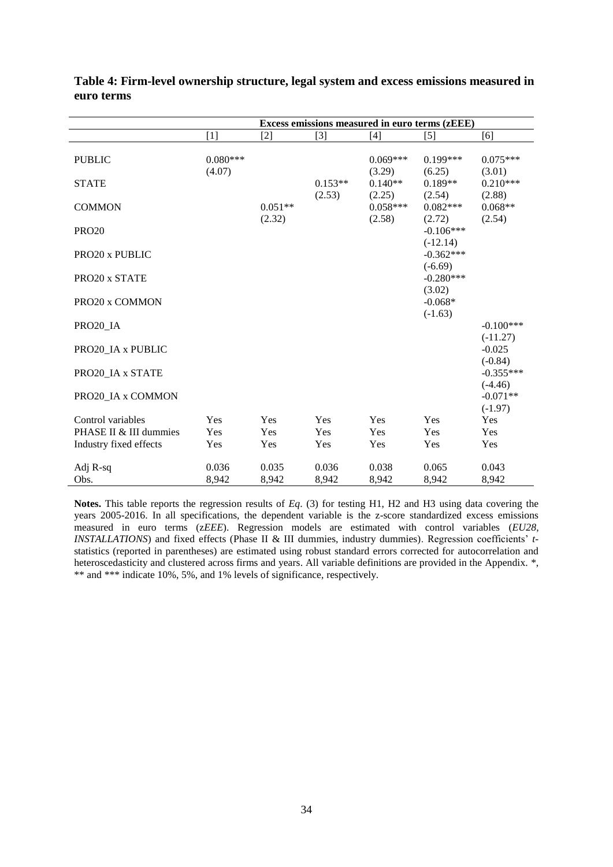|                        |                      |                     |                     |                      | Excess emissions measured in euro terms (zEEE) |                           |
|------------------------|----------------------|---------------------|---------------------|----------------------|------------------------------------------------|---------------------------|
|                        | $[1]$                | $[2]$               | $[3]$               | $[4]$                | $[5]$                                          | [6]                       |
| <b>PUBLIC</b>          | $0.080***$<br>(4.07) |                     |                     | $0.069***$<br>(3.29) | $0.199***$<br>(6.25)                           | $0.075***$<br>(3.01)      |
| <b>STATE</b>           |                      |                     | $0.153**$<br>(2.53) | $0.140**$<br>(2.25)  | $0.189**$<br>(2.54)                            | $0.210***$<br>(2.88)      |
| <b>COMMON</b>          |                      | $0.051**$<br>(2.32) |                     | $0.058***$<br>(2.58) | $0.082***$<br>(2.72)                           | $0.068**$<br>(2.54)       |
| <b>PRO20</b>           |                      |                     |                     |                      | $-0.106***$<br>$(-12.14)$                      |                           |
| PRO20 x PUBLIC         |                      |                     |                     |                      | $-0.362***$<br>$(-6.69)$                       |                           |
| PRO20 x STATE          |                      |                     |                     |                      | $-0.280***$<br>(3.02)                          |                           |
| PRO20 x COMMON         |                      |                     |                     |                      | $-0.068*$<br>$(-1.63)$                         |                           |
| PRO20 IA               |                      |                     |                     |                      |                                                | $-0.100***$<br>$(-11.27)$ |
| PRO20_IA x PUBLIC      |                      |                     |                     |                      |                                                | $-0.025$<br>$(-0.84)$     |
| PRO20 IA x STATE       |                      |                     |                     |                      |                                                | $-0.355***$<br>$(-4.46)$  |
| PRO20 IA x COMMON      |                      |                     |                     |                      |                                                | $-0.071**$<br>$(-1.97)$   |
| Control variables      | <b>Yes</b>           | Yes                 | <b>Yes</b>          | Yes                  | Yes                                            | Yes                       |
| PHASE II & III dummies | <b>Yes</b>           | Yes                 | Yes                 | Yes                  | Yes                                            | Yes                       |
| Industry fixed effects | Yes                  | Yes                 | Yes                 | Yes                  | Yes                                            | Yes                       |
| Adj R-sq               | 0.036                | 0.035               | 0.036               | 0.038                | 0.065                                          | 0.043                     |
| Obs.                   | 8,942                | 8,942               | 8,942               | 8,942                | 8,942                                          | 8,942                     |

| Table 4: Firm-level ownership structure, legal system and excess emissions measured in |  |  |  |
|----------------------------------------------------------------------------------------|--|--|--|
| euro terms                                                                             |  |  |  |

l, l.

> **Notes.** This table reports the regression results of *Eq*. (3) for testing H1, H2 and H3 using data covering the years 2005-2016. In all specifications, the dependent variable is the z-score standardized excess emissions measured in euro terms (z*EEE*). Regression models are estimated with control variables (*EU28*, *INSTALLATIONS*) and fixed effects (Phase II & III dummies, industry dummies). Regression coefficients' *t*statistics (reported in parentheses) are estimated using robust standard errors corrected for autocorrelation and heteroscedasticity and clustered across firms and years. All variable definitions are provided in the Appendix.  $*,$ \*\* and \*\*\* indicate 10%, 5%, and 1% levels of significance, respectively.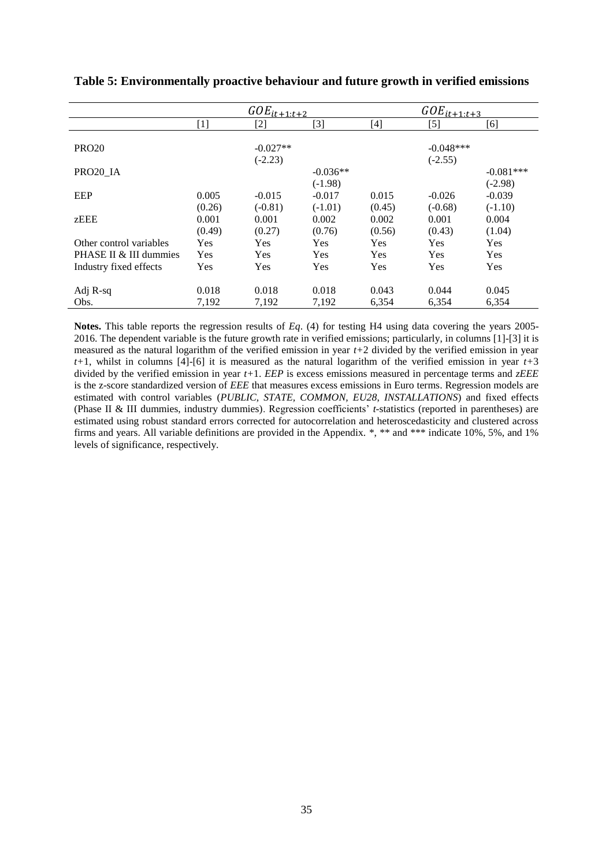|                         |        | $GOE_{it\pm1:t\pm2}$ |            |        | $GOE_{it \pm 1:t \pm 3}$ |             |
|-------------------------|--------|----------------------|------------|--------|--------------------------|-------------|
|                         | $[1]$  | $[2]$                | [3]        | [4]    | [5]                      | [6]         |
|                         |        |                      |            |        |                          |             |
| <b>PRO20</b>            |        | $-0.027**$           |            |        | $-0.048***$              |             |
|                         |        | $(-2.23)$            |            |        | $(-2.55)$                |             |
| PRO20 IA                |        |                      | $-0.036**$ |        |                          | $-0.081***$ |
|                         |        |                      | $(-1.98)$  |        |                          | $(-2.98)$   |
| EEP                     | 0.005  | $-0.015$             | $-0.017$   | 0.015  | $-0.026$                 | $-0.039$    |
|                         | (0.26) | $(-0.81)$            | $(-1.01)$  | (0.45) | $(-0.68)$                | $(-1.10)$   |
| zEEE                    | 0.001  | 0.001                | 0.002      | 0.002  | 0.001                    | 0.004       |
|                         | (0.49) | (0.27)               | (0.76)     | (0.56) | (0.43)                   | (1.04)      |
| Other control variables | Yes    | Yes                  | Yes        | Yes    | Yes                      | Yes         |
| PHASE II & III dummies  | Yes    | Yes                  | Yes        | Yes    | Yes                      | Yes         |
| Industry fixed effects  | Yes    | Yes                  | Yes        | Yes    | Yes                      | Yes         |
|                         |        |                      |            |        |                          |             |
| Adj R-sq                | 0.018  | 0.018                | 0.018      | 0.043  | 0.044                    | 0.045       |
| Obs.                    | 7,192  | 7,192                | 7,192      | 6,354  | 6,354                    | 6,354       |

**Table 5: Environmentally proactive behaviour and future growth in verified emissions** 

**Notes.** This table reports the regression results of *Eq*. (4) for testing H4 using data covering the years 2005- 2016. The dependent variable is the future growth rate in verified emissions; particularly, in columns [1]-[3] it is measured as the natural logarithm of the verified emission in year *t+*2 divided by the verified emission in year *t+*1, whilst in columns [4]-[6] it is measured as the natural logarithm of the verified emission in year *t+*3 divided by the verified emission in year *t+*1. *EEP* is excess emissions measured in percentage terms and *zEEE*  is the z-score standardized version of *EEE* that measures excess emissions in Euro terms. Regression models are estimated with control variables (*PUBLIC, STATE, COMMON, EU28*, *INSTALLATIONS*) and fixed effects (Phase II & III dummies, industry dummies). Regression coefficients' *t-*statistics (reported in parentheses) are estimated using robust standard errors corrected for autocorrelation and heteroscedasticity and clustered across firms and years. All variable definitions are provided in the Appendix. \*, \*\* and \*\*\* indicate 10%, 5%, and 1% levels of significance, respectively.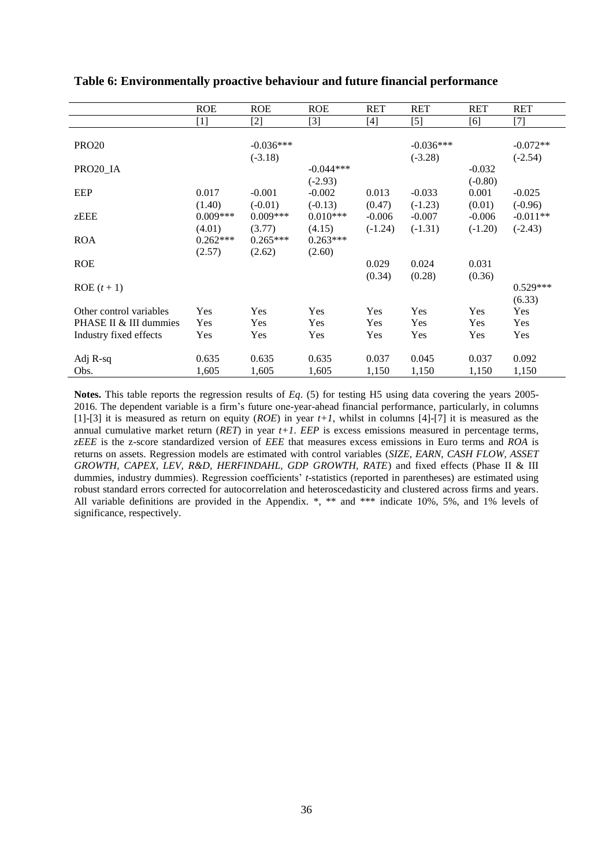|                         | <b>ROE</b>                                                                                                                                                                       | <b>ROE</b>  | <b>ROE</b>  | <b>RET</b> | <b>RET</b>  | <b>RET</b> | <b>RET</b>                                                                                                                                                                      |
|-------------------------|----------------------------------------------------------------------------------------------------------------------------------------------------------------------------------|-------------|-------------|------------|-------------|------------|---------------------------------------------------------------------------------------------------------------------------------------------------------------------------------|
|                         | $[1] % \includegraphics[width=0.9\columnwidth]{figures/fig_10.pdf} \caption{The figure shows the number of times of the estimators in the left and right.} \label{fig:fig:time}$ | $[2]$       | $[3]$       | $[4]$      | $[5]$       | [6]        | $[7] % \includegraphics[width=0.9\columnwidth]{figures/fig_10.pdf} \caption{The 3D (black) model for a different region of the parameter $\Omega$ and $\Omega$.} \label{fig:1}$ |
|                         |                                                                                                                                                                                  |             |             |            |             |            |                                                                                                                                                                                 |
| <b>PRO20</b>            |                                                                                                                                                                                  | $-0.036***$ |             |            | $-0.036***$ |            | $-0.072**$                                                                                                                                                                      |
|                         |                                                                                                                                                                                  | $(-3.18)$   |             |            | $(-3.28)$   |            | $(-2.54)$                                                                                                                                                                       |
| PRO20_IA                |                                                                                                                                                                                  |             | $-0.044***$ |            |             | $-0.032$   |                                                                                                                                                                                 |
|                         |                                                                                                                                                                                  |             | $(-2.93)$   |            |             | $(-0.80)$  |                                                                                                                                                                                 |
| EEP                     | 0.017                                                                                                                                                                            | $-0.001$    | $-0.002$    | 0.013      | $-0.033$    | 0.001      | $-0.025$                                                                                                                                                                        |
|                         | (1.40)                                                                                                                                                                           | $(-0.01)$   | $(-0.13)$   | (0.47)     | $(-1.23)$   | (0.01)     | $(-0.96)$                                                                                                                                                                       |
| zEEE                    | $0.009***$                                                                                                                                                                       | $0.009***$  | $0.010***$  | $-0.006$   | $-0.007$    | $-0.006$   | $-0.011**$                                                                                                                                                                      |
|                         | (4.01)                                                                                                                                                                           | (3.77)      | (4.15)      | $(-1.24)$  | $(-1.31)$   | $(-1.20)$  | $(-2.43)$                                                                                                                                                                       |
| <b>ROA</b>              | $0.262***$                                                                                                                                                                       | $0.265***$  | $0.263***$  |            |             |            |                                                                                                                                                                                 |
|                         | (2.57)                                                                                                                                                                           | (2.62)      | (2.60)      |            |             |            |                                                                                                                                                                                 |
| <b>ROE</b>              |                                                                                                                                                                                  |             |             | 0.029      | 0.024       | 0.031      |                                                                                                                                                                                 |
|                         |                                                                                                                                                                                  |             |             | (0.34)     | (0.28)      | (0.36)     |                                                                                                                                                                                 |
| $ROE(t+1)$              |                                                                                                                                                                                  |             |             |            |             |            | $0.529***$                                                                                                                                                                      |
|                         |                                                                                                                                                                                  |             |             |            |             |            | (6.33)                                                                                                                                                                          |
| Other control variables | Yes                                                                                                                                                                              | Yes         | Yes         | Yes        | Yes         | Yes        | Yes                                                                                                                                                                             |
| PHASE II & III dummies  | Yes                                                                                                                                                                              | Yes         | Yes         | Yes        | Yes         | <b>Yes</b> | Yes                                                                                                                                                                             |
| Industry fixed effects  | Yes                                                                                                                                                                              | Yes         | Yes         | Yes        | Yes         | <b>Yes</b> | Yes                                                                                                                                                                             |
|                         |                                                                                                                                                                                  |             |             |            |             |            |                                                                                                                                                                                 |
| Adj R-sq                | 0.635                                                                                                                                                                            | 0.635       | 0.635       | 0.037      | 0.045       | 0.037      | 0.092                                                                                                                                                                           |
| Obs.                    | 1,605                                                                                                                                                                            | 1,605       | 1,605       | 1,150      | 1,150       | 1,150      | 1,150                                                                                                                                                                           |

#### **Table 6: Environmentally proactive behaviour and future financial performance**

**Notes.** This table reports the regression results of *Eq*. (5) for testing H5 using data covering the years 2005- 2016. The dependent variable is a firm's future one-year-ahead financial performance, particularly, in columns [1]-[3] it is measured as return on equity (*ROE*) in year *t+1*, whilst in columns [4]-[7] it is measured as the annual cumulative market return (*RET*) in year *t+1*. *EEP* is excess emissions measured in percentage terms, *zEEE* is the z-score standardized version of *EEE* that measures excess emissions in Euro terms and *ROA* is returns on assets. Regression models are estimated with control variables (*SIZE, EARN, CASH FLOW, ASSET GROWTH, CAPEX, LEV, R&D, HERFINDAHL, GDP GROWTH, RATE*) and fixed effects (Phase II & III dummies, industry dummies). Regression coefficients' *t-*statistics (reported in parentheses) are estimated using robust standard errors corrected for autocorrelation and heteroscedasticity and clustered across firms and years. All variable definitions are provided in the Appendix. \*, \*\* and \*\*\* indicate 10%, 5%, and 1% levels of significance, respectively.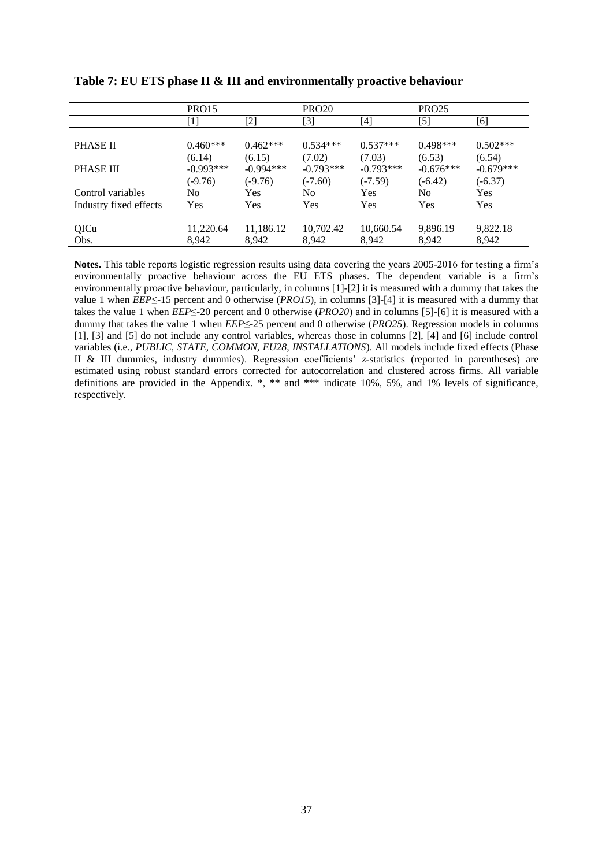|                        | PRO15       |             | <b>PRO20</b> |             | <b>PRO25</b>     |             |
|------------------------|-------------|-------------|--------------|-------------|------------------|-------------|
|                        | [1]         | [2]         | [3]          | [4]         | $\left[5\right]$ | [6]         |
|                        |             |             |              |             |                  |             |
| PHASE II               | $0.460***$  | $0.462***$  | $0.534***$   | $0.537***$  | $0.498***$       | $0.502***$  |
|                        | (6.14)      | (6.15)      | (7.02)       | (7.03)      | (6.53)           | (6.54)      |
| <b>PHASE III</b>       | $-0.993***$ | $-0.994***$ | $-0.793***$  | $-0.793***$ | $-0.676***$      | $-0.679***$ |
|                        | $(-9.76)$   | $(-9.76)$   | $(-7.60)$    | $(-7.59)$   | $(-6.42)$        | $(-6.37)$   |
| Control variables      | No.         | Yes         | No           | Yes         | No.              | Yes         |
| Industry fixed effects | Yes         | <b>Yes</b>  | <b>Yes</b>   | Yes         | <b>Yes</b>       | Yes         |
|                        |             |             |              |             |                  |             |
| QICu                   | 11,220.64   | 11,186.12   | 10,702.42    | 10,660.54   | 9,896.19         | 9,822.18    |
| Obs.                   | 8.942       | 8.942       | 8.942        | 8.942       | 8,942            | 8,942       |

**Table 7: EU ETS phase II & III and environmentally proactive behaviour**

**Notes.** This table reports logistic regression results using data covering the years 2005-2016 for testing a firm's environmentally proactive behaviour across the EU ETS phases. The dependent variable is a firm's environmentally proactive behaviour, particularly, in columns [1]-[2] it is measured with a dummy that takes the value 1 when *EEP*≤-15 percent and 0 otherwise (*PRO15*), in columns [3]-[4] it is measured with a dummy that takes the value 1 when *EEP*≤-20 percent and 0 otherwise (*PRO20*) and in columns [5]-[6] it is measured with a dummy that takes the value 1 when *EEP*≤-25 percent and 0 otherwise (*PRO25*). Regression models in columns [1], [3] and [5] do not include any control variables, whereas those in columns [2], [4] and [6] include control variables (i.e., *PUBLIC, STATE, COMMON, EU28, INSTALLATIONS*). All models include fixed effects (Phase II & III dummies, industry dummies). Regression coefficients' *z-*statistics (reported in parentheses) are estimated using robust standard errors corrected for autocorrelation and clustered across firms. All variable definitions are provided in the Appendix. \*, \*\* and \*\*\* indicate 10%, 5%, and 1% levels of significance, respectively.